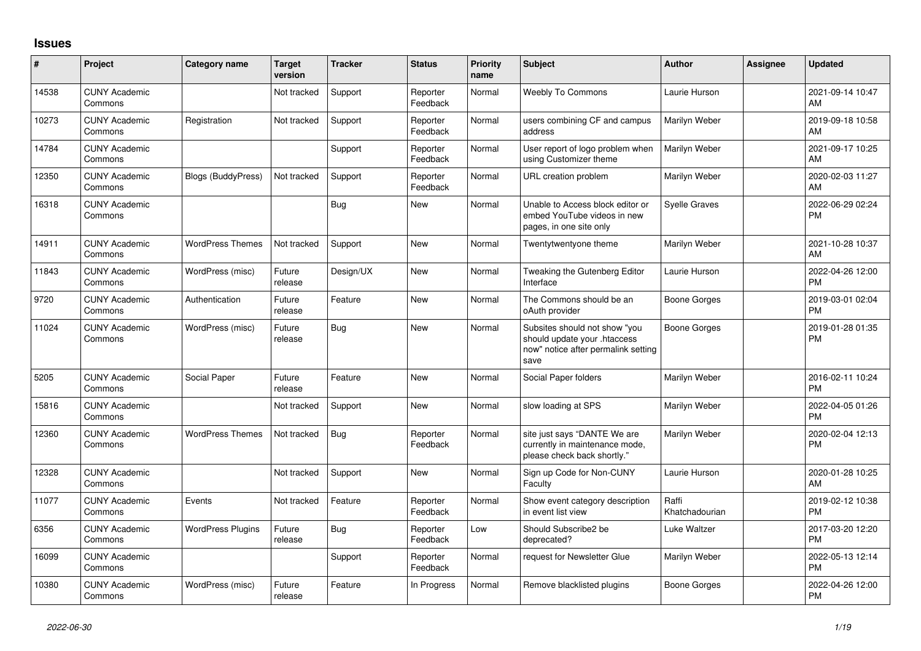## **Issues**

| #     | Project                         | Category name             | <b>Target</b><br>version | <b>Tracker</b> | <b>Status</b>        | <b>Priority</b><br>name | <b>Subject</b>                                                                                               | Author                  | <b>Assignee</b> | <b>Updated</b>                |
|-------|---------------------------------|---------------------------|--------------------------|----------------|----------------------|-------------------------|--------------------------------------------------------------------------------------------------------------|-------------------------|-----------------|-------------------------------|
| 14538 | <b>CUNY Academic</b><br>Commons |                           | Not tracked              | Support        | Reporter<br>Feedback | Normal                  | Weebly To Commons                                                                                            | Laurie Hurson           |                 | 2021-09-14 10:47<br>AM        |
| 10273 | <b>CUNY Academic</b><br>Commons | Registration              | Not tracked              | Support        | Reporter<br>Feedback | Normal                  | users combining CF and campus<br>address                                                                     | Marilyn Weber           |                 | 2019-09-18 10:58<br>AM        |
| 14784 | <b>CUNY Academic</b><br>Commons |                           |                          | Support        | Reporter<br>Feedback | Normal                  | User report of logo problem when<br>using Customizer theme                                                   | Marilyn Weber           |                 | 2021-09-17 10:25<br>AM        |
| 12350 | <b>CUNY Academic</b><br>Commons | <b>Blogs (BuddyPress)</b> | Not tracked              | Support        | Reporter<br>Feedback | Normal                  | URL creation problem                                                                                         | Marilyn Weber           |                 | 2020-02-03 11:27<br>AM        |
| 16318 | <b>CUNY Academic</b><br>Commons |                           |                          | Bug            | <b>New</b>           | Normal                  | Unable to Access block editor or<br>embed YouTube videos in new<br>pages, in one site only                   | <b>Syelle Graves</b>    |                 | 2022-06-29 02:24<br><b>PM</b> |
| 14911 | <b>CUNY Academic</b><br>Commons | <b>WordPress Themes</b>   | Not tracked              | Support        | <b>New</b>           | Normal                  | Twentytwentyone theme                                                                                        | Marilyn Weber           |                 | 2021-10-28 10:37<br>AM        |
| 11843 | <b>CUNY Academic</b><br>Commons | WordPress (misc)          | Future<br>release        | Design/UX      | <b>New</b>           | Normal                  | Tweaking the Gutenberg Editor<br>Interface                                                                   | Laurie Hurson           |                 | 2022-04-26 12:00<br><b>PM</b> |
| 9720  | <b>CUNY Academic</b><br>Commons | Authentication            | Future<br>release        | Feature        | <b>New</b>           | Normal                  | The Commons should be an<br>oAuth provider                                                                   | Boone Gorges            |                 | 2019-03-01 02:04<br><b>PM</b> |
| 11024 | <b>CUNY Academic</b><br>Commons | WordPress (misc)          | Future<br>release        | Bug            | <b>New</b>           | Normal                  | Subsites should not show "you<br>should update your .htaccess<br>now" notice after permalink setting<br>save | Boone Gorges            |                 | 2019-01-28 01:35<br><b>PM</b> |
| 5205  | <b>CUNY Academic</b><br>Commons | Social Paper              | Future<br>release        | Feature        | <b>New</b>           | Normal                  | Social Paper folders                                                                                         | Marilyn Weber           |                 | 2016-02-11 10:24<br><b>PM</b> |
| 15816 | <b>CUNY Academic</b><br>Commons |                           | Not tracked              | Support        | <b>New</b>           | Normal                  | slow loading at SPS                                                                                          | Marilyn Weber           |                 | 2022-04-05 01:26<br><b>PM</b> |
| 12360 | <b>CUNY Academic</b><br>Commons | <b>WordPress Themes</b>   | Not tracked              | Bug            | Reporter<br>Feedback | Normal                  | site just says "DANTE We are<br>currently in maintenance mode,<br>please check back shortly."                | Marilyn Weber           |                 | 2020-02-04 12:13<br><b>PM</b> |
| 12328 | <b>CUNY Academic</b><br>Commons |                           | Not tracked              | Support        | <b>New</b>           | Normal                  | Sign up Code for Non-CUNY<br>Faculty                                                                         | Laurie Hurson           |                 | 2020-01-28 10:25<br>AM        |
| 11077 | <b>CUNY Academic</b><br>Commons | Events                    | Not tracked              | Feature        | Reporter<br>Feedback | Normal                  | Show event category description<br>in event list view                                                        | Raffi<br>Khatchadourian |                 | 2019-02-12 10:38<br><b>PM</b> |
| 6356  | <b>CUNY Academic</b><br>Commons | <b>WordPress Plugins</b>  | Future<br>release        | Bug            | Reporter<br>Feedback | Low                     | Should Subscribe2 be<br>deprecated?                                                                          | Luke Waltzer            |                 | 2017-03-20 12:20<br><b>PM</b> |
| 16099 | <b>CUNY Academic</b><br>Commons |                           |                          | Support        | Reporter<br>Feedback | Normal                  | request for Newsletter Glue                                                                                  | Marilyn Weber           |                 | 2022-05-13 12:14<br><b>PM</b> |
| 10380 | <b>CUNY Academic</b><br>Commons | WordPress (misc)          | Future<br>release        | Feature        | In Progress          | Normal                  | Remove blacklisted plugins                                                                                   | <b>Boone Gorges</b>     |                 | 2022-04-26 12:00<br><b>PM</b> |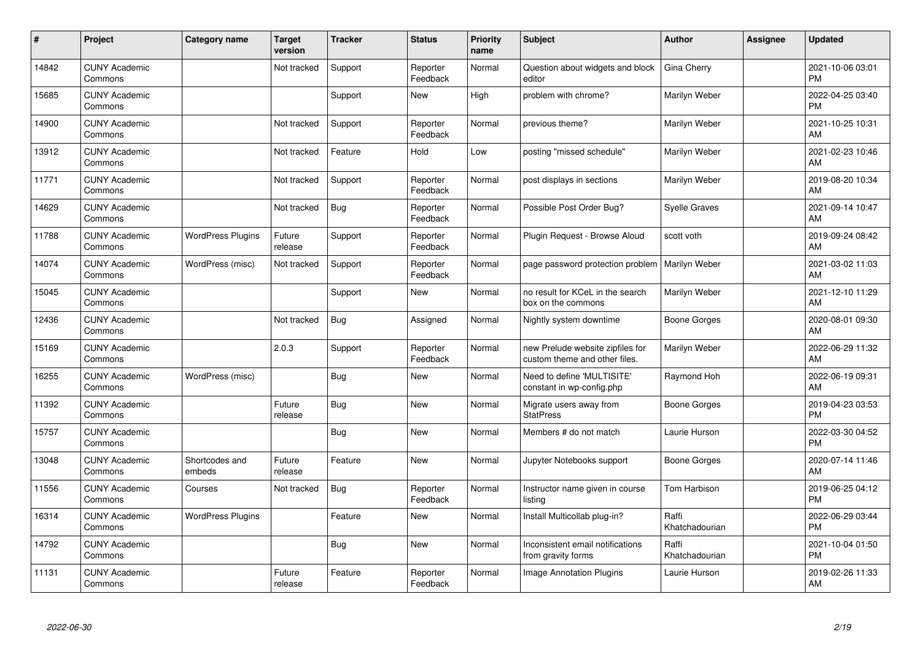| #     | Project                         | <b>Category name</b>     | <b>Target</b><br>version | <b>Tracker</b> | <b>Status</b>        | <b>Priority</b><br>name | <b>Subject</b>                                                    | <b>Author</b>           | Assignee | <b>Updated</b>                |
|-------|---------------------------------|--------------------------|--------------------------|----------------|----------------------|-------------------------|-------------------------------------------------------------------|-------------------------|----------|-------------------------------|
| 14842 | <b>CUNY Academic</b><br>Commons |                          | Not tracked              | Support        | Reporter<br>Feedback | Normal                  | Question about widgets and block<br>editor                        | Gina Cherry             |          | 2021-10-06 03:01<br><b>PM</b> |
| 15685 | <b>CUNY Academic</b><br>Commons |                          |                          | Support        | New                  | High                    | problem with chrome?                                              | Marilyn Weber           |          | 2022-04-25 03:40<br><b>PM</b> |
| 14900 | <b>CUNY Academic</b><br>Commons |                          | Not tracked              | Support        | Reporter<br>Feedback | Normal                  | previous theme?                                                   | Marilyn Weber           |          | 2021-10-25 10:31<br>AM        |
| 13912 | <b>CUNY Academic</b><br>Commons |                          | Not tracked              | Feature        | Hold                 | Low                     | posting "missed schedule"                                         | Marilyn Weber           |          | 2021-02-23 10:46<br>AM        |
| 11771 | <b>CUNY Academic</b><br>Commons |                          | Not tracked              | Support        | Reporter<br>Feedback | Normal                  | post displays in sections                                         | Marilyn Weber           |          | 2019-08-20 10:34<br>AM        |
| 14629 | <b>CUNY Academic</b><br>Commons |                          | Not tracked              | Bug            | Reporter<br>Feedback | Normal                  | Possible Post Order Bug?                                          | <b>Syelle Graves</b>    |          | 2021-09-14 10:47<br>AM        |
| 11788 | <b>CUNY Academic</b><br>Commons | <b>WordPress Plugins</b> | Future<br>release        | Support        | Reporter<br>Feedback | Normal                  | Plugin Request - Browse Aloud                                     | scott voth              |          | 2019-09-24 08:42<br>AM        |
| 14074 | <b>CUNY Academic</b><br>Commons | WordPress (misc)         | Not tracked              | Support        | Reporter<br>Feedback | Normal                  | page password protection problem                                  | Marilyn Weber           |          | 2021-03-02 11:03<br>AM        |
| 15045 | <b>CUNY Academic</b><br>Commons |                          |                          | Support        | New                  | Normal                  | no result for KCeL in the search<br>box on the commons            | Marilyn Weber           |          | 2021-12-10 11:29<br>AM        |
| 12436 | <b>CUNY Academic</b><br>Commons |                          | Not tracked              | Bug            | Assigned             | Normal                  | Nightly system downtime                                           | <b>Boone Gorges</b>     |          | 2020-08-01 09:30<br>AM        |
| 15169 | <b>CUNY Academic</b><br>Commons |                          | 2.0.3                    | Support        | Reporter<br>Feedback | Normal                  | new Prelude website zipfiles for<br>custom theme and other files. | Marilyn Weber           |          | 2022-06-29 11:32<br>AM        |
| 16255 | <b>CUNY Academic</b><br>Commons | WordPress (misc)         |                          | <b>Bug</b>     | New                  | Normal                  | Need to define 'MULTISITE'<br>constant in wp-config.php           | Raymond Hoh             |          | 2022-06-19 09:31<br>AM        |
| 11392 | <b>CUNY Academic</b><br>Commons |                          | Future<br>release        | <b>Bug</b>     | New                  | Normal                  | Migrate users away from<br><b>StatPress</b>                       | Boone Gorges            |          | 2019-04-23 03:53<br><b>PM</b> |
| 15757 | <b>CUNY Academic</b><br>Commons |                          |                          | Bug            | New                  | Normal                  | Members # do not match                                            | Laurie Hurson           |          | 2022-03-30 04:52<br><b>PM</b> |
| 13048 | <b>CUNY Academic</b><br>Commons | Shortcodes and<br>embeds | Future<br>release        | Feature        | New                  | Normal                  | Jupyter Notebooks support                                         | Boone Gorges            |          | 2020-07-14 11:46<br>AM        |
| 11556 | <b>CUNY Academic</b><br>Commons | Courses                  | Not tracked              | Bug            | Reporter<br>Feedback | Normal                  | Instructor name given in course<br>listing                        | Tom Harbison            |          | 2019-06-25 04:12<br><b>PM</b> |
| 16314 | <b>CUNY Academic</b><br>Commons | <b>WordPress Plugins</b> |                          | Feature        | New                  | Normal                  | Install Multicollab plug-in?                                      | Raffi<br>Khatchadourian |          | 2022-06-29 03:44<br><b>PM</b> |
| 14792 | <b>CUNY Academic</b><br>Commons |                          |                          | <b>Bug</b>     | New                  | Normal                  | Inconsistent email notifications<br>from gravity forms            | Raffi<br>Khatchadourian |          | 2021-10-04 01:50<br><b>PM</b> |
| 11131 | <b>CUNY Academic</b><br>Commons |                          | Future<br>release        | Feature        | Reporter<br>Feedback | Normal                  | Image Annotation Plugins                                          | Laurie Hurson           |          | 2019-02-26 11:33<br>AM        |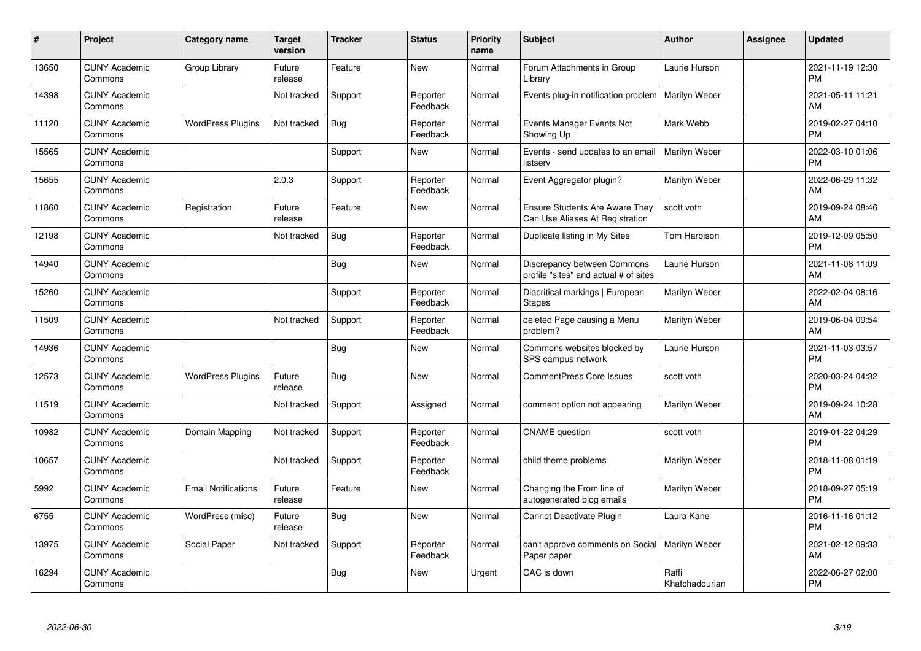| $\#$  | Project                         | <b>Category name</b>       | <b>Target</b><br>version | <b>Tracker</b> | <b>Status</b>        | <b>Priority</b><br>name | <b>Subject</b>                                                           | <b>Author</b>           | <b>Assignee</b> | <b>Updated</b>                |
|-------|---------------------------------|----------------------------|--------------------------|----------------|----------------------|-------------------------|--------------------------------------------------------------------------|-------------------------|-----------------|-------------------------------|
| 13650 | <b>CUNY Academic</b><br>Commons | Group Library              | Future<br>release        | Feature        | <b>New</b>           | Normal                  | Forum Attachments in Group<br>Library                                    | Laurie Hurson           |                 | 2021-11-19 12:30<br><b>PM</b> |
| 14398 | <b>CUNY Academic</b><br>Commons |                            | Not tracked              | Support        | Reporter<br>Feedback | Normal                  | Events plug-in notification problem                                      | Marilyn Weber           |                 | 2021-05-11 11:21<br>AM        |
| 11120 | <b>CUNY Academic</b><br>Commons | <b>WordPress Plugins</b>   | Not tracked              | Bug            | Reporter<br>Feedback | Normal                  | Events Manager Events Not<br>Showing Up                                  | Mark Webb               |                 | 2019-02-27 04:10<br><b>PM</b> |
| 15565 | <b>CUNY Academic</b><br>Commons |                            |                          | Support        | <b>New</b>           | Normal                  | Events - send updates to an email<br>listserv                            | Marilyn Weber           |                 | 2022-03-10 01:06<br><b>PM</b> |
| 15655 | <b>CUNY Academic</b><br>Commons |                            | 2.0.3                    | Support        | Reporter<br>Feedback | Normal                  | Event Aggregator plugin?                                                 | Marilyn Weber           |                 | 2022-06-29 11:32<br>AM        |
| 11860 | <b>CUNY Academic</b><br>Commons | Registration               | Future<br>release        | Feature        | <b>New</b>           | Normal                  | <b>Ensure Students Are Aware They</b><br>Can Use Aliases At Registration | scott voth              |                 | 2019-09-24 08:46<br>AM        |
| 12198 | <b>CUNY Academic</b><br>Commons |                            | Not tracked              | Bug            | Reporter<br>Feedback | Normal                  | Duplicate listing in My Sites                                            | Tom Harbison            |                 | 2019-12-09 05:50<br><b>PM</b> |
| 14940 | <b>CUNY Academic</b><br>Commons |                            |                          | Bug            | New                  | Normal                  | Discrepancy between Commons<br>profile "sites" and actual # of sites     | Laurie Hurson           |                 | 2021-11-08 11:09<br><b>AM</b> |
| 15260 | <b>CUNY Academic</b><br>Commons |                            |                          | Support        | Reporter<br>Feedback | Normal                  | Diacritical markings   European<br><b>Stages</b>                         | Marilyn Weber           |                 | 2022-02-04 08:16<br>AM        |
| 11509 | <b>CUNY Academic</b><br>Commons |                            | Not tracked              | Support        | Reporter<br>Feedback | Normal                  | deleted Page causing a Menu<br>problem?                                  | Marilyn Weber           |                 | 2019-06-04 09:54<br>AM        |
| 14936 | <b>CUNY Academic</b><br>Commons |                            |                          | <b>Bug</b>     | New                  | Normal                  | Commons websites blocked by<br>SPS campus network                        | Laurie Hurson           |                 | 2021-11-03 03:57<br><b>PM</b> |
| 12573 | <b>CUNY Academic</b><br>Commons | <b>WordPress Plugins</b>   | Future<br>release        | Bug            | New                  | Normal                  | CommentPress Core Issues                                                 | scott voth              |                 | 2020-03-24 04:32<br><b>PM</b> |
| 11519 | <b>CUNY Academic</b><br>Commons |                            | Not tracked              | Support        | Assigned             | Normal                  | comment option not appearing                                             | Marilyn Weber           |                 | 2019-09-24 10:28<br><b>AM</b> |
| 10982 | <b>CUNY Academic</b><br>Commons | Domain Mapping             | Not tracked              | Support        | Reporter<br>Feedback | Normal                  | <b>CNAME</b> question                                                    | scott voth              |                 | 2019-01-22 04:29<br><b>PM</b> |
| 10657 | <b>CUNY Academic</b><br>Commons |                            | Not tracked              | Support        | Reporter<br>Feedback | Normal                  | child theme problems                                                     | Marilyn Weber           |                 | 2018-11-08 01:19<br><b>PM</b> |
| 5992  | <b>CUNY Academic</b><br>Commons | <b>Email Notifications</b> | Future<br>release        | Feature        | New                  | Normal                  | Changing the From line of<br>autogenerated blog emails                   | Marilyn Weber           |                 | 2018-09-27 05:19<br><b>PM</b> |
| 6755  | <b>CUNY Academic</b><br>Commons | WordPress (misc)           | Future<br>release        | Bug            | <b>New</b>           | Normal                  | Cannot Deactivate Plugin                                                 | Laura Kane              |                 | 2016-11-16 01:12<br><b>PM</b> |
| 13975 | <b>CUNY Academic</b><br>Commons | Social Paper               | Not tracked              | Support        | Reporter<br>Feedback | Normal                  | can't approve comments on Social<br>Paper paper                          | Marilyn Weber           |                 | 2021-02-12 09:33<br>AM        |
| 16294 | <b>CUNY Academic</b><br>Commons |                            |                          | Bug            | <b>New</b>           | Urgent                  | CAC is down                                                              | Raffi<br>Khatchadourian |                 | 2022-06-27 02:00<br>PM        |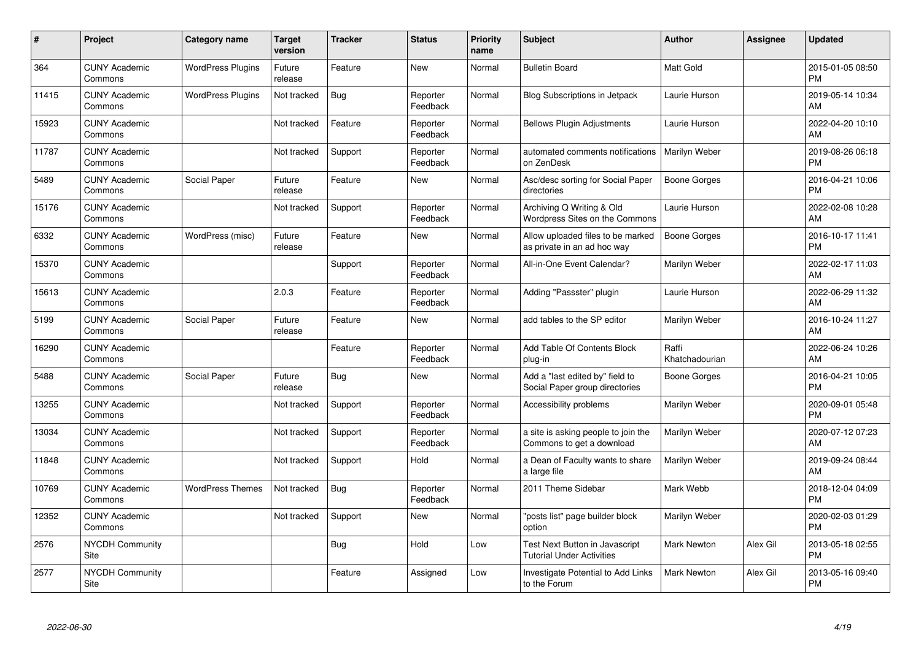| #     | Project                         | <b>Category name</b>     | <b>Target</b><br>version | <b>Tracker</b> | <b>Status</b>        | <b>Priority</b><br>name | <b>Subject</b>                                                     | <b>Author</b>           | <b>Assignee</b> | <b>Updated</b>                |
|-------|---------------------------------|--------------------------|--------------------------|----------------|----------------------|-------------------------|--------------------------------------------------------------------|-------------------------|-----------------|-------------------------------|
| 364   | <b>CUNY Academic</b><br>Commons | <b>WordPress Plugins</b> | Future<br>release        | Feature        | <b>New</b>           | Normal                  | <b>Bulletin Board</b>                                              | <b>Matt Gold</b>        |                 | 2015-01-05 08:50<br><b>PM</b> |
| 11415 | <b>CUNY Academic</b><br>Commons | <b>WordPress Plugins</b> | Not tracked              | Bug            | Reporter<br>Feedback | Normal                  | <b>Blog Subscriptions in Jetpack</b>                               | Laurie Hurson           |                 | 2019-05-14 10:34<br>AM        |
| 15923 | <b>CUNY Academic</b><br>Commons |                          | Not tracked              | Feature        | Reporter<br>Feedback | Normal                  | <b>Bellows Plugin Adjustments</b>                                  | Laurie Hurson           |                 | 2022-04-20 10:10<br>AM        |
| 11787 | <b>CUNY Academic</b><br>Commons |                          | Not tracked              | Support        | Reporter<br>Feedback | Normal                  | automated comments notifications<br>on ZenDesk                     | Marilyn Weber           |                 | 2019-08-26 06:18<br><b>PM</b> |
| 5489  | <b>CUNY Academic</b><br>Commons | Social Paper             | Future<br>release        | Feature        | <b>New</b>           | Normal                  | Asc/desc sorting for Social Paper<br>directories                   | Boone Gorges            |                 | 2016-04-21 10:06<br><b>PM</b> |
| 15176 | <b>CUNY Academic</b><br>Commons |                          | Not tracked              | Support        | Reporter<br>Feedback | Normal                  | Archiving Q Writing & Old<br>Wordpress Sites on the Commons        | Laurie Hurson           |                 | 2022-02-08 10:28<br><b>AM</b> |
| 6332  | <b>CUNY Academic</b><br>Commons | WordPress (misc)         | Future<br>release        | Feature        | New                  | Normal                  | Allow uploaded files to be marked<br>as private in an ad hoc way   | Boone Gorges            |                 | 2016-10-17 11:41<br><b>PM</b> |
| 15370 | <b>CUNY Academic</b><br>Commons |                          |                          | Support        | Reporter<br>Feedback | Normal                  | All-in-One Event Calendar?                                         | Marilyn Weber           |                 | 2022-02-17 11:03<br>AM        |
| 15613 | <b>CUNY Academic</b><br>Commons |                          | 2.0.3                    | Feature        | Reporter<br>Feedback | Normal                  | Adding "Passster" plugin                                           | Laurie Hurson           |                 | 2022-06-29 11:32<br>AM        |
| 5199  | <b>CUNY Academic</b><br>Commons | Social Paper             | Future<br>release        | Feature        | New                  | Normal                  | add tables to the SP editor                                        | Marilyn Weber           |                 | 2016-10-24 11:27<br>AM        |
| 16290 | <b>CUNY Academic</b><br>Commons |                          |                          | Feature        | Reporter<br>Feedback | Normal                  | Add Table Of Contents Block<br>plug-in                             | Raffi<br>Khatchadourian |                 | 2022-06-24 10:26<br>AM        |
| 5488  | <b>CUNY Academic</b><br>Commons | Social Paper             | Future<br>release        | Bug            | New                  | Normal                  | Add a "last edited by" field to<br>Social Paper group directories  | Boone Gorges            |                 | 2016-04-21 10:05<br><b>PM</b> |
| 13255 | <b>CUNY Academic</b><br>Commons |                          | Not tracked              | Support        | Reporter<br>Feedback | Normal                  | Accessibility problems                                             | Marilyn Weber           |                 | 2020-09-01 05:48<br><b>PM</b> |
| 13034 | <b>CUNY Academic</b><br>Commons |                          | Not tracked              | Support        | Reporter<br>Feedback | Normal                  | a site is asking people to join the<br>Commons to get a download   | Marilyn Weber           |                 | 2020-07-12 07:23<br><b>AM</b> |
| 11848 | <b>CUNY Academic</b><br>Commons |                          | Not tracked              | Support        | Hold                 | Normal                  | a Dean of Faculty wants to share<br>a large file                   | Marilyn Weber           |                 | 2019-09-24 08:44<br><b>AM</b> |
| 10769 | <b>CUNY Academic</b><br>Commons | <b>WordPress Themes</b>  | Not tracked              | <b>Bug</b>     | Reporter<br>Feedback | Normal                  | 2011 Theme Sidebar                                                 | Mark Webb               |                 | 2018-12-04 04:09<br><b>PM</b> |
| 12352 | <b>CUNY Academic</b><br>Commons |                          | Not tracked              | Support        | New                  | Normal                  | "posts list" page builder block<br>option                          | Marilyn Weber           |                 | 2020-02-03 01:29<br><b>PM</b> |
| 2576  | <b>NYCDH Community</b><br>Site  |                          |                          | <b>Bug</b>     | Hold                 | Low                     | Test Next Button in Javascript<br><b>Tutorial Under Activities</b> | <b>Mark Newton</b>      | Alex Gil        | 2013-05-18 02:55<br><b>PM</b> |
| 2577  | <b>NYCDH Community</b><br>Site  |                          |                          | Feature        | Assigned             | Low                     | <b>Investigate Potential to Add Links</b><br>to the Forum          | <b>Mark Newton</b>      | Alex Gil        | 2013-05-16 09:40<br>PM        |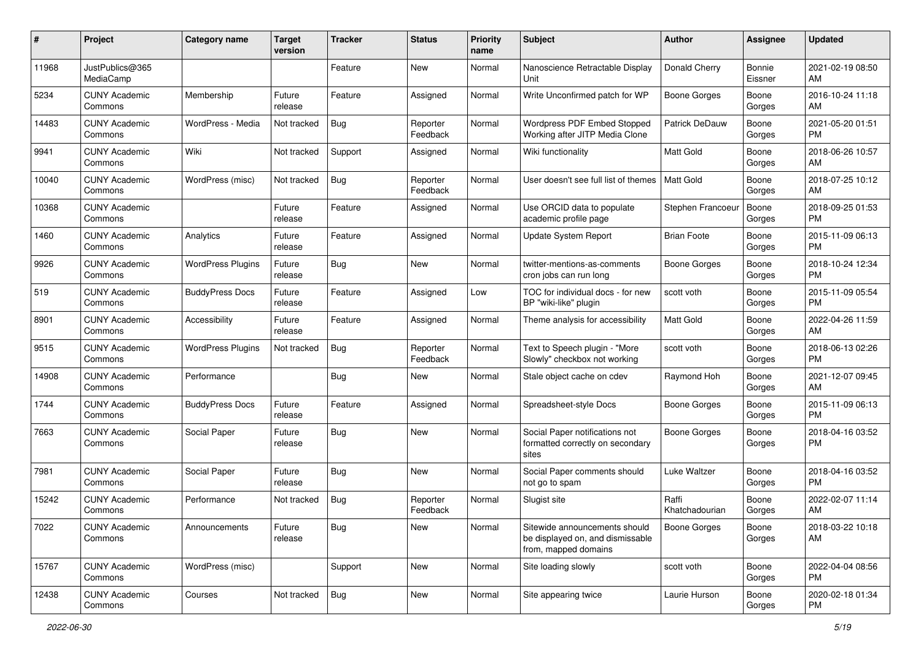| #     | Project                         | <b>Category name</b>     | <b>Target</b><br>version | <b>Tracker</b> | <b>Status</b>        | <b>Priority</b><br>name | <b>Subject</b>                                                                            | <b>Author</b>           | <b>Assignee</b>   | <b>Updated</b>                |
|-------|---------------------------------|--------------------------|--------------------------|----------------|----------------------|-------------------------|-------------------------------------------------------------------------------------------|-------------------------|-------------------|-------------------------------|
| 11968 | JustPublics@365<br>MediaCamp    |                          |                          | Feature        | New                  | Normal                  | Nanoscience Retractable Display<br>Unit                                                   | Donald Cherry           | Bonnie<br>Eissner | 2021-02-19 08:50<br>AM        |
| 5234  | <b>CUNY Academic</b><br>Commons | Membership               | Future<br>release        | Feature        | Assigned             | Normal                  | Write Unconfirmed patch for WP                                                            | Boone Gorges            | Boone<br>Gorges   | 2016-10-24 11:18<br>AM        |
| 14483 | <b>CUNY Academic</b><br>Commons | WordPress - Media        | Not tracked              | <b>Bug</b>     | Reporter<br>Feedback | Normal                  | Wordpress PDF Embed Stopped<br>Working after JITP Media Clone                             | Patrick DeDauw          | Boone<br>Gorges   | 2021-05-20 01:51<br><b>PM</b> |
| 9941  | <b>CUNY Academic</b><br>Commons | Wiki                     | Not tracked              | Support        | Assigned             | Normal                  | Wiki functionality                                                                        | <b>Matt Gold</b>        | Boone<br>Gorges   | 2018-06-26 10:57<br>AM        |
| 10040 | <b>CUNY Academic</b><br>Commons | WordPress (misc)         | Not tracked              | <b>Bug</b>     | Reporter<br>Feedback | Normal                  | User doesn't see full list of themes                                                      | Matt Gold               | Boone<br>Gorges   | 2018-07-25 10:12<br>AM        |
| 10368 | <b>CUNY Academic</b><br>Commons |                          | Future<br>release        | Feature        | Assigned             | Normal                  | Use ORCID data to populate<br>academic profile page                                       | Stephen Francoeur       | Boone<br>Gorges   | 2018-09-25 01:53<br><b>PM</b> |
| 1460  | <b>CUNY Academic</b><br>Commons | Analytics                | Future<br>release        | Feature        | Assigned             | Normal                  | <b>Update System Report</b>                                                               | <b>Brian Foote</b>      | Boone<br>Gorges   | 2015-11-09 06:13<br><b>PM</b> |
| 9926  | <b>CUNY Academic</b><br>Commons | <b>WordPress Plugins</b> | Future<br>release        | <b>Bug</b>     | <b>New</b>           | Normal                  | twitter-mentions-as-comments<br>cron jobs can run long                                    | <b>Boone Gorges</b>     | Boone<br>Gorges   | 2018-10-24 12:34<br>PM        |
| 519   | <b>CUNY Academic</b><br>Commons | <b>BuddyPress Docs</b>   | Future<br>release        | Feature        | Assigned             | Low                     | TOC for individual docs - for new<br>BP "wiki-like" plugin                                | scott voth              | Boone<br>Gorges   | 2015-11-09 05:54<br><b>PM</b> |
| 8901  | <b>CUNY Academic</b><br>Commons | Accessibility            | Future<br>release        | Feature        | Assigned             | Normal                  | Theme analysis for accessibility                                                          | Matt Gold               | Boone<br>Gorges   | 2022-04-26 11:59<br>AM        |
| 9515  | <b>CUNY Academic</b><br>Commons | <b>WordPress Plugins</b> | Not tracked              | <b>Bug</b>     | Reporter<br>Feedback | Normal                  | Text to Speech plugin - "More<br>Slowly" checkbox not working                             | scott voth              | Boone<br>Gorges   | 2018-06-13 02:26<br><b>PM</b> |
| 14908 | <b>CUNY Academic</b><br>Commons | Performance              |                          | Bug            | New                  | Normal                  | Stale object cache on cdev                                                                | Raymond Hoh             | Boone<br>Gorges   | 2021-12-07 09:45<br>AM        |
| 1744  | <b>CUNY Academic</b><br>Commons | <b>BuddyPress Docs</b>   | Future<br>release        | Feature        | Assigned             | Normal                  | Spreadsheet-style Docs                                                                    | Boone Gorges            | Boone<br>Gorges   | 2015-11-09 06:13<br><b>PM</b> |
| 7663  | <b>CUNY Academic</b><br>Commons | Social Paper             | Future<br>release        | Bug            | <b>New</b>           | Normal                  | Social Paper notifications not<br>formatted correctly on secondary<br>sites               | <b>Boone Gorges</b>     | Boone<br>Gorges   | 2018-04-16 03:52<br><b>PM</b> |
| 7981  | <b>CUNY Academic</b><br>Commons | Social Paper             | Future<br>release        | <b>Bug</b>     | New                  | Normal                  | Social Paper comments should<br>not go to spam                                            | Luke Waltzer            | Boone<br>Gorges   | 2018-04-16 03:52<br><b>PM</b> |
| 15242 | <b>CUNY Academic</b><br>Commons | Performance              | Not tracked              | Bug            | Reporter<br>Feedback | Normal                  | Slugist site                                                                              | Raffi<br>Khatchadourian | Boone<br>Gorges   | 2022-02-07 11:14<br>AM        |
| 7022  | <b>CUNY Academic</b><br>Commons | Announcements            | Future<br>release        | <b>Bug</b>     | New                  | Normal                  | Sitewide announcements should<br>be displayed on, and dismissable<br>from, mapped domains | <b>Boone Gorges</b>     | Boone<br>Gorges   | 2018-03-22 10:18<br>AM        |
| 15767 | <b>CUNY Academic</b><br>Commons | WordPress (misc)         |                          | Support        | New                  | Normal                  | Site loading slowly                                                                       | scott voth              | Boone<br>Gorges   | 2022-04-04 08:56<br><b>PM</b> |
| 12438 | <b>CUNY Academic</b><br>Commons | Courses                  | Not tracked              | <b>Bug</b>     | New                  | Normal                  | Site appearing twice                                                                      | Laurie Hurson           | Boone<br>Gorges   | 2020-02-18 01:34<br>PM        |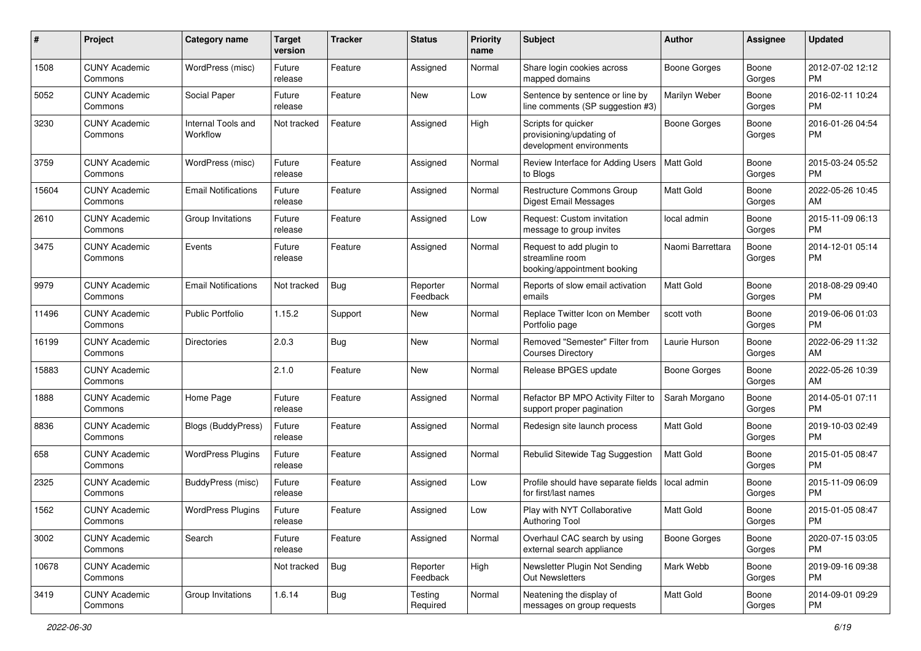| #     | Project                         | <b>Category name</b>           | <b>Target</b><br>version | <b>Tracker</b> | <b>Status</b>        | <b>Priority</b><br>name | <b>Subject</b>                                                              | <b>Author</b>       | <b>Assignee</b> | <b>Updated</b>                |
|-------|---------------------------------|--------------------------------|--------------------------|----------------|----------------------|-------------------------|-----------------------------------------------------------------------------|---------------------|-----------------|-------------------------------|
| 1508  | <b>CUNY Academic</b><br>Commons | WordPress (misc)               | Future<br>release        | Feature        | Assigned             | Normal                  | Share login cookies across<br>mapped domains                                | <b>Boone Gorges</b> | Boone<br>Gorges | 2012-07-02 12:12<br><b>PM</b> |
| 5052  | <b>CUNY Academic</b><br>Commons | Social Paper                   | Future<br>release        | Feature        | New                  | Low                     | Sentence by sentence or line by<br>line comments (SP suggestion #3)         | Marilyn Weber       | Boone<br>Gorges | 2016-02-11 10:24<br><b>PM</b> |
| 3230  | <b>CUNY Academic</b><br>Commons | Internal Tools and<br>Workflow | Not tracked              | Feature        | Assigned             | High                    | Scripts for quicker<br>provisioning/updating of<br>development environments | Boone Gorges        | Boone<br>Gorges | 2016-01-26 04:54<br><b>PM</b> |
| 3759  | <b>CUNY Academic</b><br>Commons | WordPress (misc)               | Future<br>release        | Feature        | Assigned             | Normal                  | Review Interface for Adding Users<br>to Blogs                               | <b>Matt Gold</b>    | Boone<br>Gorges | 2015-03-24 05:52<br>PM.       |
| 15604 | <b>CUNY Academic</b><br>Commons | <b>Email Notifications</b>     | Future<br>release        | Feature        | Assigned             | Normal                  | <b>Restructure Commons Group</b><br>Digest Email Messages                   | Matt Gold           | Boone<br>Gorges | 2022-05-26 10:45<br>AM        |
| 2610  | <b>CUNY Academic</b><br>Commons | Group Invitations              | Future<br>release        | Feature        | Assigned             | Low                     | Request: Custom invitation<br>message to group invites                      | local admin         | Boone<br>Gorges | 2015-11-09 06:13<br><b>PM</b> |
| 3475  | <b>CUNY Academic</b><br>Commons | Events                         | Future<br>release        | Feature        | Assigned             | Normal                  | Request to add plugin to<br>streamline room<br>booking/appointment booking  | Naomi Barrettara    | Boone<br>Gorges | 2014-12-01 05:14<br>PM.       |
| 9979  | <b>CUNY Academic</b><br>Commons | <b>Email Notifications</b>     | Not tracked              | Bug            | Reporter<br>Feedback | Normal                  | Reports of slow email activation<br>emails                                  | Matt Gold           | Boone<br>Gorges | 2018-08-29 09:40<br>PM.       |
| 11496 | <b>CUNY Academic</b><br>Commons | <b>Public Portfolio</b>        | 1.15.2                   | Support        | New                  | Normal                  | Replace Twitter Icon on Member<br>Portfolio page                            | scott voth          | Boone<br>Gorges | 2019-06-06 01:03<br>PM.       |
| 16199 | <b>CUNY Academic</b><br>Commons | <b>Directories</b>             | 2.0.3                    | Bug            | New                  | Normal                  | Removed "Semester" Filter from<br><b>Courses Directory</b>                  | Laurie Hurson       | Boone<br>Gorges | 2022-06-29 11:32<br>AM.       |
| 15883 | <b>CUNY Academic</b><br>Commons |                                | 2.1.0                    | Feature        | New                  | Normal                  | Release BPGES update                                                        | Boone Gorges        | Boone<br>Gorges | 2022-05-26 10:39<br>AM        |
| 1888  | <b>CUNY Academic</b><br>Commons | Home Page                      | Future<br>release        | Feature        | Assigned             | Normal                  | Refactor BP MPO Activity Filter to<br>support proper pagination             | Sarah Morgano       | Boone<br>Gorges | 2014-05-01 07:11<br>PM.       |
| 8836  | <b>CUNY Academic</b><br>Commons | Blogs (BuddyPress)             | Future<br>release        | Feature        | Assigned             | Normal                  | Redesign site launch process                                                | Matt Gold           | Boone<br>Gorges | 2019-10-03 02:49<br>PM.       |
| 658   | <b>CUNY Academic</b><br>Commons | <b>WordPress Plugins</b>       | Future<br>release        | Feature        | Assigned             | Normal                  | Rebulid Sitewide Tag Suggestion                                             | Matt Gold           | Boone<br>Gorges | 2015-01-05 08:47<br><b>PM</b> |
| 2325  | <b>CUNY Academic</b><br>Commons | <b>BuddyPress</b> (misc)       | Future<br>release        | Feature        | Assigned             | Low                     | Profile should have separate fields<br>for first/last names                 | local admin         | Boone<br>Gorges | 2015-11-09 06:09<br><b>PM</b> |
| 1562  | <b>CUNY Academic</b><br>Commons | <b>WordPress Plugins</b>       | Future<br>release        | Feature        | Assigned             | Low                     | Play with NYT Collaborative<br>Authoring Tool                               | Matt Gold           | Boone<br>Gorges | 2015-01-05 08:47<br>PM        |
| 3002  | <b>CUNY Academic</b><br>Commons | Search                         | Future<br>release        | Feature        | Assigned             | Normal                  | Overhaul CAC search by using<br>external search appliance                   | Boone Gorges        | Boone<br>Gorges | 2020-07-15 03:05<br>PM.       |
| 10678 | <b>CUNY Academic</b><br>Commons |                                | Not tracked              | Bug            | Reporter<br>Feedback | High                    | Newsletter Plugin Not Sending<br>Out Newsletters                            | Mark Webb           | Boone<br>Gorges | 2019-09-16 09:38<br><b>PM</b> |
| 3419  | <b>CUNY Academic</b><br>Commons | Group Invitations              | 1.6.14                   | <b>Bug</b>     | Testing<br>Required  | Normal                  | Neatening the display of<br>messages on group requests                      | Matt Gold           | Boone<br>Gorges | 2014-09-01 09:29<br><b>PM</b> |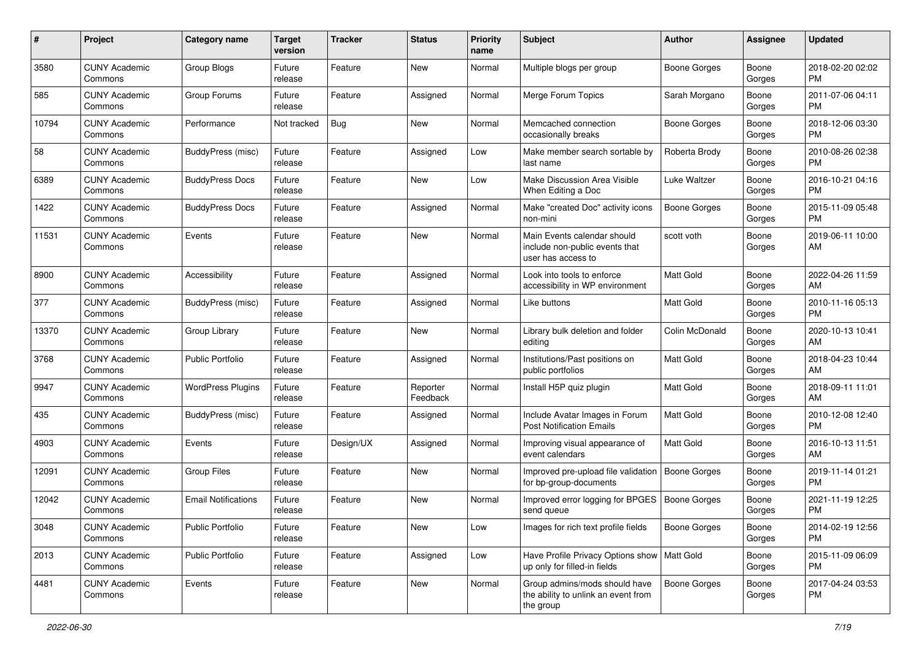| #     | Project                         | <b>Category name</b>       | <b>Target</b><br>version | Tracker   | <b>Status</b>        | <b>Priority</b><br>name | <b>Subject</b>                                                                      | <b>Author</b>       | Assignee        | <b>Updated</b>                |
|-------|---------------------------------|----------------------------|--------------------------|-----------|----------------------|-------------------------|-------------------------------------------------------------------------------------|---------------------|-----------------|-------------------------------|
| 3580  | <b>CUNY Academic</b><br>Commons | Group Blogs                | Future<br>release        | Feature   | New                  | Normal                  | Multiple blogs per group                                                            | Boone Gorges        | Boone<br>Gorges | 2018-02-20 02:02<br><b>PM</b> |
| 585   | <b>CUNY Academic</b><br>Commons | Group Forums               | Future<br>release        | Feature   | Assigned             | Normal                  | Merge Forum Topics                                                                  | Sarah Morgano       | Boone<br>Gorges | 2011-07-06 04:11<br><b>PM</b> |
| 10794 | <b>CUNY Academic</b><br>Commons | Performance                | Not tracked              | Bug       | New                  | Normal                  | Memcached connection<br>occasionally breaks                                         | Boone Gorges        | Boone<br>Gorges | 2018-12-06 03:30<br><b>PM</b> |
| 58    | <b>CUNY Academic</b><br>Commons | BuddyPress (misc)          | Future<br>release        | Feature   | Assigned             | Low                     | Make member search sortable by<br>last name                                         | Roberta Brody       | Boone<br>Gorges | 2010-08-26 02:38<br><b>PM</b> |
| 6389  | <b>CUNY Academic</b><br>Commons | <b>BuddyPress Docs</b>     | Future<br>release        | Feature   | New                  | Low                     | Make Discussion Area Visible<br>When Editing a Doc                                  | Luke Waltzer        | Boone<br>Gorges | 2016-10-21 04:16<br><b>PM</b> |
| 1422  | <b>CUNY Academic</b><br>Commons | <b>BuddyPress Docs</b>     | Future<br>release        | Feature   | Assigned             | Normal                  | Make "created Doc" activity icons<br>non-mini                                       | <b>Boone Gorges</b> | Boone<br>Gorges | 2015-11-09 05:48<br><b>PM</b> |
| 11531 | <b>CUNY Academic</b><br>Commons | Events                     | Future<br>release        | Feature   | New                  | Normal                  | Main Events calendar should<br>include non-public events that<br>user has access to | scott voth          | Boone<br>Gorges | 2019-06-11 10:00<br>AM        |
| 8900  | <b>CUNY Academic</b><br>Commons | Accessibility              | Future<br>release        | Feature   | Assigned             | Normal                  | Look into tools to enforce<br>accessibility in WP environment                       | Matt Gold           | Boone<br>Gorges | 2022-04-26 11:59<br>AM        |
| 377   | <b>CUNY Academic</b><br>Commons | BuddyPress (misc)          | Future<br>release        | Feature   | Assigned             | Normal                  | Like buttons                                                                        | <b>Matt Gold</b>    | Boone<br>Gorges | 2010-11-16 05:13<br><b>PM</b> |
| 13370 | <b>CUNY Academic</b><br>Commons | Group Library              | Future<br>release        | Feature   | New                  | Normal                  | Library bulk deletion and folder<br>editing                                         | Colin McDonald      | Boone<br>Gorges | 2020-10-13 10:41<br>AM        |
| 3768  | <b>CUNY Academic</b><br>Commons | <b>Public Portfolio</b>    | Future<br>release        | Feature   | Assigned             | Normal                  | Institutions/Past positions on<br>public portfolios                                 | Matt Gold           | Boone<br>Gorges | 2018-04-23 10:44<br>AM        |
| 9947  | <b>CUNY Academic</b><br>Commons | <b>WordPress Plugins</b>   | Future<br>release        | Feature   | Reporter<br>Feedback | Normal                  | Install H5P quiz plugin                                                             | <b>Matt Gold</b>    | Boone<br>Gorges | 2018-09-11 11:01<br>AM        |
| 435   | <b>CUNY Academic</b><br>Commons | BuddyPress (misc)          | Future<br>release        | Feature   | Assigned             | Normal                  | Include Avatar Images in Forum<br><b>Post Notification Emails</b>                   | <b>Matt Gold</b>    | Boone<br>Gorges | 2010-12-08 12:40<br><b>PM</b> |
| 4903  | <b>CUNY Academic</b><br>Commons | Events                     | Future<br>release        | Design/UX | Assigned             | Normal                  | Improving visual appearance of<br>event calendars                                   | <b>Matt Gold</b>    | Boone<br>Gorges | 2016-10-13 11:51<br>AM        |
| 12091 | <b>CUNY Academic</b><br>Commons | <b>Group Files</b>         | Future<br>release        | Feature   | New                  | Normal                  | Improved pre-upload file validation<br>for bp-group-documents                       | <b>Boone Gorges</b> | Boone<br>Gorges | 2019-11-14 01:21<br><b>PM</b> |
| 12042 | <b>CUNY Academic</b><br>Commons | <b>Email Notifications</b> | Future<br>release        | Feature   | New                  | Normal                  | Improved error logging for BPGES<br>send queue                                      | Boone Gorges        | Boone<br>Gorges | 2021-11-19 12:25<br><b>PM</b> |
| 3048  | <b>CUNY Academic</b><br>Commons | Public Portfolio           | Future<br>release        | Feature   | New                  | Low                     | Images for rich text profile fields                                                 | Boone Gorges        | Boone<br>Gorges | 2014-02-19 12:56<br><b>PM</b> |
| 2013  | <b>CUNY Academic</b><br>Commons | Public Portfolio           | Future<br>release        | Feature   | Assigned             | Low                     | Have Profile Privacy Options show   Matt Gold<br>up only for filled-in fields       |                     | Boone<br>Gorges | 2015-11-09 06:09<br><b>PM</b> |
| 4481  | <b>CUNY Academic</b><br>Commons | Events                     | Future<br>release        | Feature   | New                  | Normal                  | Group admins/mods should have<br>the ability to unlink an event from<br>the group   | <b>Boone Gorges</b> | Boone<br>Gorges | 2017-04-24 03:53<br>PM        |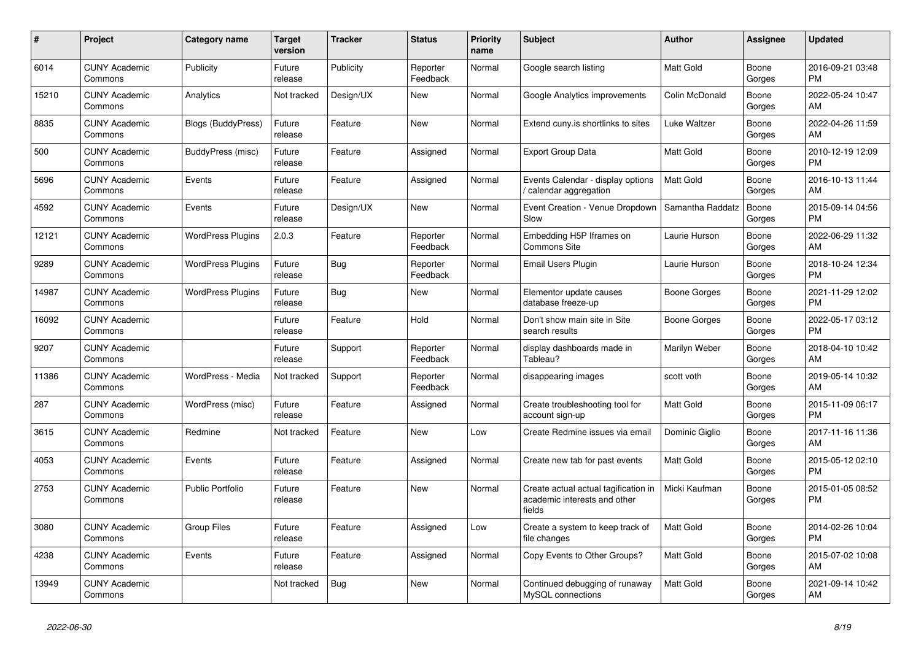| $\#$  | Project                         | <b>Category name</b>     | Target<br>version | <b>Tracker</b> | <b>Status</b>        | <b>Priority</b><br>name | <b>Subject</b>                                                                 | <b>Author</b>    | Assignee        | <b>Updated</b>                |
|-------|---------------------------------|--------------------------|-------------------|----------------|----------------------|-------------------------|--------------------------------------------------------------------------------|------------------|-----------------|-------------------------------|
| 6014  | <b>CUNY Academic</b><br>Commons | Publicity                | Future<br>release | Publicity      | Reporter<br>Feedback | Normal                  | Google search listing                                                          | <b>Matt Gold</b> | Boone<br>Gorges | 2016-09-21 03:48<br><b>PM</b> |
| 15210 | <b>CUNY Academic</b><br>Commons | Analytics                | Not tracked       | Design/UX      | New                  | Normal                  | Google Analytics improvements                                                  | Colin McDonald   | Boone<br>Gorges | 2022-05-24 10:47<br>AM        |
| 8835  | <b>CUNY Academic</b><br>Commons | Blogs (BuddyPress)       | Future<br>release | Feature        | New                  | Normal                  | Extend cuny is shortlinks to sites                                             | Luke Waltzer     | Boone<br>Gorges | 2022-04-26 11:59<br>AM        |
| 500   | <b>CUNY Academic</b><br>Commons | BuddyPress (misc)        | Future<br>release | Feature        | Assigned             | Normal                  | <b>Export Group Data</b>                                                       | <b>Matt Gold</b> | Boone<br>Gorges | 2010-12-19 12:09<br><b>PM</b> |
| 5696  | <b>CUNY Academic</b><br>Commons | Events                   | Future<br>release | Feature        | Assigned             | Normal                  | Events Calendar - display options<br>calendar aggregation                      | <b>Matt Gold</b> | Boone<br>Gorges | 2016-10-13 11:44<br>AM        |
| 4592  | <b>CUNY Academic</b><br>Commons | Events                   | Future<br>release | Design/UX      | New                  | Normal                  | Event Creation - Venue Dropdown<br>Slow                                        | Samantha Raddatz | Boone<br>Gorges | 2015-09-14 04:56<br><b>PM</b> |
| 12121 | <b>CUNY Academic</b><br>Commons | <b>WordPress Plugins</b> | 2.0.3             | Feature        | Reporter<br>Feedback | Normal                  | Embedding H5P Iframes on<br>Commons Site                                       | Laurie Hurson    | Boone<br>Gorges | 2022-06-29 11:32<br>AM        |
| 9289  | <b>CUNY Academic</b><br>Commons | <b>WordPress Plugins</b> | Future<br>release | Bug            | Reporter<br>Feedback | Normal                  | Email Users Plugin                                                             | Laurie Hurson    | Boone<br>Gorges | 2018-10-24 12:34<br><b>PM</b> |
| 14987 | <b>CUNY Academic</b><br>Commons | <b>WordPress Plugins</b> | Future<br>release | <b>Bug</b>     | New                  | Normal                  | Elementor update causes<br>database freeze-up                                  | Boone Gorges     | Boone<br>Gorges | 2021-11-29 12:02<br><b>PM</b> |
| 16092 | <b>CUNY Academic</b><br>Commons |                          | Future<br>release | Feature        | Hold                 | Normal                  | Don't show main site in Site<br>search results                                 | Boone Gorges     | Boone<br>Gorges | 2022-05-17 03:12<br><b>PM</b> |
| 9207  | <b>CUNY Academic</b><br>Commons |                          | Future<br>release | Support        | Reporter<br>Feedback | Normal                  | display dashboards made in<br>Tableau?                                         | Marilyn Weber    | Boone<br>Gorges | 2018-04-10 10:42<br>AM        |
| 11386 | <b>CUNY Academic</b><br>Commons | WordPress - Media        | Not tracked       | Support        | Reporter<br>Feedback | Normal                  | disappearing images                                                            | scott voth       | Boone<br>Gorges | 2019-05-14 10:32<br>AM        |
| 287   | <b>CUNY Academic</b><br>Commons | WordPress (misc)         | Future<br>release | Feature        | Assigned             | Normal                  | Create troubleshooting tool for<br>account sign-up                             | <b>Matt Gold</b> | Boone<br>Gorges | 2015-11-09 06:17<br><b>PM</b> |
| 3615  | <b>CUNY Academic</b><br>Commons | Redmine                  | Not tracked       | Feature        | <b>New</b>           | Low                     | Create Redmine issues via email                                                | Dominic Giglio   | Boone<br>Gorges | 2017-11-16 11:36<br>AM        |
| 4053  | <b>CUNY Academic</b><br>Commons | Events                   | Future<br>release | Feature        | Assigned             | Normal                  | Create new tab for past events                                                 | <b>Matt Gold</b> | Boone<br>Gorges | 2015-05-12 02:10<br><b>PM</b> |
| 2753  | <b>CUNY Academic</b><br>Commons | <b>Public Portfolio</b>  | Future<br>release | Feature        | New                  | Normal                  | Create actual actual tagification in<br>academic interests and other<br>fields | Micki Kaufman    | Boone<br>Gorges | 2015-01-05 08:52<br><b>PM</b> |
| 3080  | <b>CUNY Academic</b><br>Commons | <b>Group Files</b>       | Future<br>release | Feature        | Assigned             | Low                     | Create a system to keep track of<br>file changes                               | Matt Gold        | Boone<br>Gorges | 2014-02-26 10:04<br><b>PM</b> |
| 4238  | <b>CUNY Academic</b><br>Commons | Events                   | Future<br>release | Feature        | Assigned             | Normal                  | Copy Events to Other Groups?                                                   | <b>Matt Gold</b> | Boone<br>Gorges | 2015-07-02 10:08<br>AM        |
| 13949 | <b>CUNY Academic</b><br>Commons |                          | Not tracked       | <b>Bug</b>     | <b>New</b>           | Normal                  | Continued debugging of runaway<br>MySQL connections                            | <b>Matt Gold</b> | Boone<br>Gorges | 2021-09-14 10:42<br>AM        |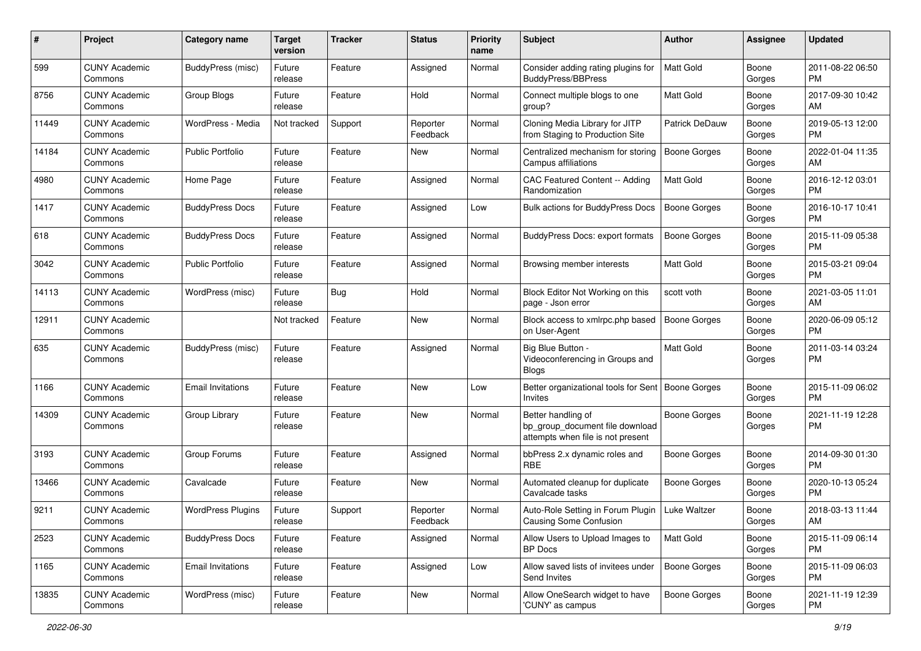| #     | Project                         | <b>Category name</b>     | <b>Target</b><br>version | <b>Tracker</b> | <b>Status</b>        | <b>Priority</b><br>name | Subject                                                                                    | Author              | Assignee        | <b>Updated</b>                |
|-------|---------------------------------|--------------------------|--------------------------|----------------|----------------------|-------------------------|--------------------------------------------------------------------------------------------|---------------------|-----------------|-------------------------------|
| 599   | <b>CUNY Academic</b><br>Commons | BuddyPress (misc)        | Future<br>release        | Feature        | Assigned             | Normal                  | Consider adding rating plugins for<br><b>BuddyPress/BBPress</b>                            | <b>Matt Gold</b>    | Boone<br>Gorges | 2011-08-22 06:50<br>PM        |
| 8756  | <b>CUNY Academic</b><br>Commons | Group Blogs              | Future<br>release        | Feature        | Hold                 | Normal                  | Connect multiple blogs to one<br>group?                                                    | Matt Gold           | Boone<br>Gorges | 2017-09-30 10:42<br>AM        |
| 11449 | CUNY Academic<br>Commons        | WordPress - Media        | Not tracked              | Support        | Reporter<br>Feedback | Normal                  | Cloning Media Library for JITP<br>from Staging to Production Site                          | Patrick DeDauw      | Boone<br>Gorges | 2019-05-13 12:00<br><b>PM</b> |
| 14184 | <b>CUNY Academic</b><br>Commons | <b>Public Portfolio</b>  | Future<br>release        | Feature        | New                  | Normal                  | Centralized mechanism for storing<br>Campus affiliations                                   | <b>Boone Gorges</b> | Boone<br>Gorges | 2022-01-04 11:35<br>AM        |
| 4980  | <b>CUNY Academic</b><br>Commons | Home Page                | Future<br>release        | Feature        | Assigned             | Normal                  | CAC Featured Content -- Adding<br>Randomization                                            | <b>Matt Gold</b>    | Boone<br>Gorges | 2016-12-12 03:01<br><b>PM</b> |
| 1417  | <b>CUNY Academic</b><br>Commons | <b>BuddyPress Docs</b>   | Future<br>release        | Feature        | Assigned             | Low                     | <b>Bulk actions for BuddyPress Docs</b>                                                    | <b>Boone Gorges</b> | Boone<br>Gorges | 2016-10-17 10:41<br><b>PM</b> |
| 618   | <b>CUNY Academic</b><br>Commons | <b>BuddyPress Docs</b>   | Future<br>release        | Feature        | Assigned             | Normal                  | BuddyPress Docs: export formats                                                            | <b>Boone Gorges</b> | Boone<br>Gorges | 2015-11-09 05:38<br>PM        |
| 3042  | <b>CUNY Academic</b><br>Commons | <b>Public Portfolio</b>  | Future<br>release        | Feature        | Assigned             | Normal                  | Browsing member interests                                                                  | Matt Gold           | Boone<br>Gorges | 2015-03-21 09:04<br>PM.       |
| 14113 | <b>CUNY Academic</b><br>Commons | WordPress (misc)         | Future<br>release        | Bug            | Hold                 | Normal                  | Block Editor Not Working on this<br>page - Json error                                      | scott voth          | Boone<br>Gorges | 2021-03-05 11:01<br>AM        |
| 12911 | CUNY Academic<br>Commons        |                          | Not tracked              | Feature        | New                  | Normal                  | Block access to xmlrpc.php based<br>on User-Agent                                          | Boone Gorges        | Boone<br>Gorges | 2020-06-09 05:12<br><b>PM</b> |
| 635   | <b>CUNY Academic</b><br>Commons | BuddyPress (misc)        | Future<br>release        | Feature        | Assigned             | Normal                  | Big Blue Button -<br>Videoconferencing in Groups and<br>Blogs                              | <b>Matt Gold</b>    | Boone<br>Gorges | 2011-03-14 03:24<br>PM        |
| 1166  | <b>CUNY Academic</b><br>Commons | <b>Email Invitations</b> | Future<br>release        | Feature        | New                  | Low                     | Better organizational tools for Sent   Boone Gorges<br>Invites                             |                     | Boone<br>Gorges | 2015-11-09 06:02<br>PM.       |
| 14309 | CUNY Academic<br>Commons        | Group Library            | Future<br>release        | Feature        | New                  | Normal                  | Better handling of<br>bp_group_document file download<br>attempts when file is not present | Boone Gorges        | Boone<br>Gorges | 2021-11-19 12:28<br><b>PM</b> |
| 3193  | <b>CUNY Academic</b><br>Commons | Group Forums             | Future<br>release        | Feature        | Assigned             | Normal                  | bbPress 2.x dynamic roles and<br><b>RBE</b>                                                | Boone Gorges        | Boone<br>Gorges | 2014-09-30 01:30<br><b>PM</b> |
| 13466 | <b>CUNY Academic</b><br>Commons | Cavalcade                | Future<br>release        | Feature        | New                  | Normal                  | Automated cleanup for duplicate<br>Cavalcade tasks                                         | <b>Boone Gorges</b> | Boone<br>Gorges | 2020-10-13 05:24<br><b>PM</b> |
| 9211  | CUNY Academic<br>Commons        | <b>WordPress Plugins</b> | Future<br>release        | Support        | Reporter<br>Feedback | Normal                  | Auto-Role Setting in Forum Plugin<br>Causing Some Confusion                                | Luke Waltzer        | Boone<br>Gorges | 2018-03-13 11:44<br>AM        |
| 2523  | <b>CUNY Academic</b><br>Commons | <b>BuddyPress Docs</b>   | Future<br>release        | Feature        | Assigned             | Normal                  | Allow Users to Upload Images to<br>BP Docs                                                 | Matt Gold           | Boone<br>Gorges | 2015-11-09 06:14<br><b>PM</b> |
| 1165  | <b>CUNY Academic</b><br>Commons | <b>Email Invitations</b> | Future<br>release        | Feature        | Assigned             | Low                     | Allow saved lists of invitees under<br>Send Invites                                        | Boone Gorges        | Boone<br>Gorges | 2015-11-09 06:03<br><b>PM</b> |
| 13835 | <b>CUNY Academic</b><br>Commons | WordPress (misc)         | Future<br>release        | Feature        | New                  | Normal                  | Allow OneSearch widget to have<br>'CUNY' as campus                                         | <b>Boone Gorges</b> | Boone<br>Gorges | 2021-11-19 12:39<br>PM        |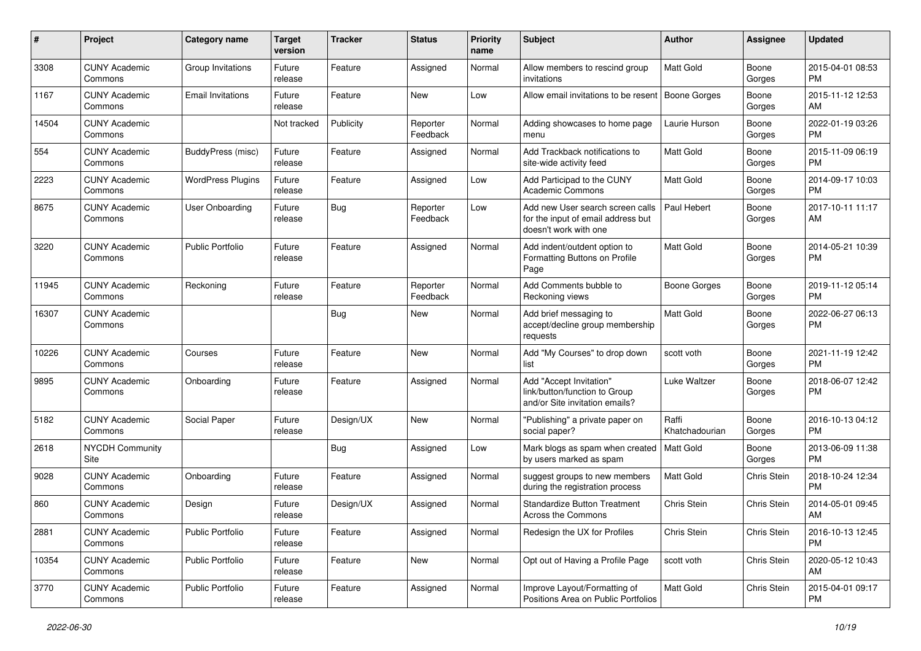| #     | Project                         | Category name            | <b>Target</b><br>version | <b>Tracker</b> | <b>Status</b>        | Priority<br>name | <b>Subject</b>                                                                                  | Author                  | <b>Assignee</b> | <b>Updated</b>                |
|-------|---------------------------------|--------------------------|--------------------------|----------------|----------------------|------------------|-------------------------------------------------------------------------------------------------|-------------------------|-----------------|-------------------------------|
| 3308  | <b>CUNY Academic</b><br>Commons | Group Invitations        | Future<br>release        | Feature        | Assigned             | Normal           | Allow members to rescind group<br>invitations                                                   | <b>Matt Gold</b>        | Boone<br>Gorges | 2015-04-01 08:53<br><b>PM</b> |
| 1167  | <b>CUNY Academic</b><br>Commons | <b>Email Invitations</b> | Future<br>release        | Feature        | New                  | Low              | Allow email invitations to be resent   Boone Gorges                                             |                         | Boone<br>Gorges | 2015-11-12 12:53<br>AM        |
| 14504 | <b>CUNY Academic</b><br>Commons |                          | Not tracked              | Publicity      | Reporter<br>Feedback | Normal           | Adding showcases to home page<br>menu                                                           | Laurie Hurson           | Boone<br>Gorges | 2022-01-19 03:26<br><b>PM</b> |
| 554   | <b>CUNY Academic</b><br>Commons | BuddyPress (misc)        | Future<br>release        | Feature        | Assigned             | Normal           | Add Trackback notifications to<br>site-wide activity feed                                       | <b>Matt Gold</b>        | Boone<br>Gorges | 2015-11-09 06:19<br><b>PM</b> |
| 2223  | <b>CUNY Academic</b><br>Commons | <b>WordPress Plugins</b> | Future<br>release        | Feature        | Assigned             | Low              | Add Participad to the CUNY<br><b>Academic Commons</b>                                           | Matt Gold               | Boone<br>Gorges | 2014-09-17 10:03<br><b>PM</b> |
| 8675  | <b>CUNY Academic</b><br>Commons | User Onboarding          | Future<br>release        | Bug            | Reporter<br>Feedback | Low              | Add new User search screen calls<br>for the input of email address but<br>doesn't work with one | Paul Hebert             | Boone<br>Gorges | 2017-10-11 11:17<br>AM        |
| 3220  | <b>CUNY Academic</b><br>Commons | <b>Public Portfolio</b>  | Future<br>release        | Feature        | Assigned             | Normal           | Add indent/outdent option to<br>Formatting Buttons on Profile<br>Page                           | Matt Gold               | Boone<br>Gorges | 2014-05-21 10:39<br><b>PM</b> |
| 11945 | <b>CUNY Academic</b><br>Commons | Reckoning                | Future<br>release        | Feature        | Reporter<br>Feedback | Normal           | Add Comments bubble to<br>Reckoning views                                                       | <b>Boone Gorges</b>     | Boone<br>Gorges | 2019-11-12 05:14<br><b>PM</b> |
| 16307 | <b>CUNY Academic</b><br>Commons |                          |                          | Bug            | New                  | Normal           | Add brief messaging to<br>accept/decline group membership<br>requests                           | <b>Matt Gold</b>        | Boone<br>Gorges | 2022-06-27 06:13<br><b>PM</b> |
| 10226 | <b>CUNY Academic</b><br>Commons | Courses                  | Future<br>release        | Feature        | <b>New</b>           | Normal           | Add "My Courses" to drop down<br>list                                                           | scott voth              | Boone<br>Gorges | 2021-11-19 12:42<br><b>PM</b> |
| 9895  | <b>CUNY Academic</b><br>Commons | Onboarding               | Future<br>release        | Feature        | Assigned             | Normal           | Add "Accept Invitation"<br>link/button/function to Group<br>and/or Site invitation emails?      | Luke Waltzer            | Boone<br>Gorges | 2018-06-07 12:42<br><b>PM</b> |
| 5182  | <b>CUNY Academic</b><br>Commons | Social Paper             | Future<br>release        | Design/UX      | <b>New</b>           | Normal           | "Publishing" a private paper on<br>social paper?                                                | Raffi<br>Khatchadourian | Boone<br>Gorges | 2016-10-13 04:12<br><b>PM</b> |
| 2618  | <b>NYCDH Community</b><br>Site  |                          |                          | <b>Bug</b>     | Assigned             | Low              | Mark blogs as spam when created<br>by users marked as spam                                      | Matt Gold               | Boone<br>Gorges | 2013-06-09 11:38<br><b>PM</b> |
| 9028  | <b>CUNY Academic</b><br>Commons | Onboarding               | Future<br>release        | Feature        | Assigned             | Normal           | suggest groups to new members<br>during the registration process                                | Matt Gold               | Chris Stein     | 2018-10-24 12:34<br><b>PM</b> |
| 860   | <b>CUNY Academic</b><br>Commons | Design                   | Future<br>release        | Design/UX      | Assigned             | Normal           | <b>Standardize Button Treatment</b><br>Across the Commons                                       | Chris Stein             | Chris Stein     | 2014-05-01 09:45<br>AM        |
| 2881  | <b>CUNY Academic</b><br>Commons | Public Portfolio         | Future<br>release        | Feature        | Assigned             | Normal           | Redesign the UX for Profiles                                                                    | Chris Stein             | Chris Stein     | 2016-10-13 12:45<br><b>PM</b> |
| 10354 | <b>CUNY Academic</b><br>Commons | <b>Public Portfolio</b>  | Future<br>release        | Feature        | New                  | Normal           | Opt out of Having a Profile Page                                                                | scott voth              | Chris Stein     | 2020-05-12 10:43<br>AM        |
| 3770  | <b>CUNY Academic</b><br>Commons | Public Portfolio         | Future<br>release        | Feature        | Assigned             | Normal           | Improve Layout/Formatting of<br>Positions Area on Public Portfolios                             | Matt Gold               | Chris Stein     | 2015-04-01 09:17<br><b>PM</b> |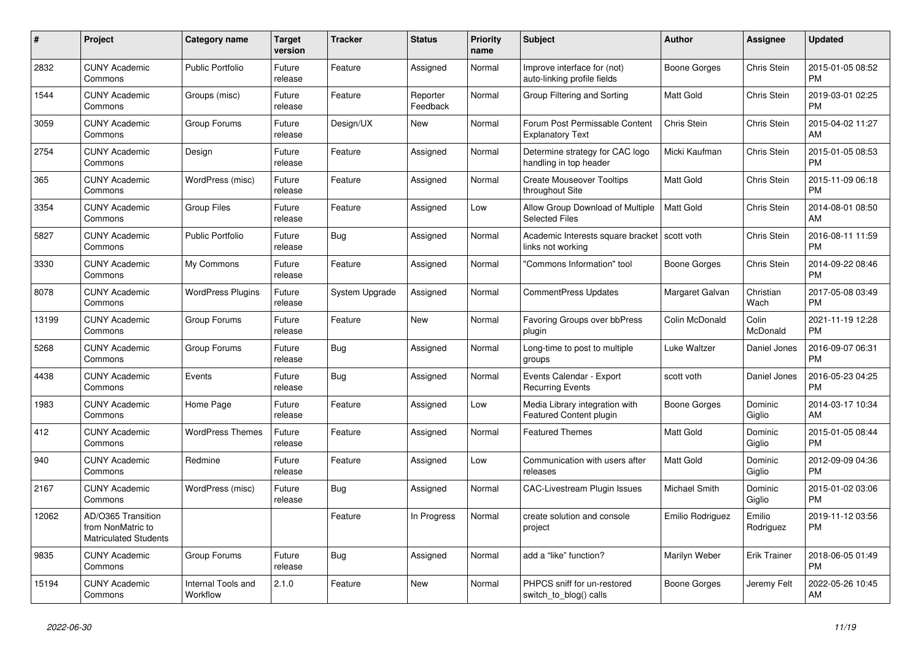| #     | Project                                                                 | <b>Category name</b>           | <b>Target</b><br>version | <b>Tracker</b> | <b>Status</b>        | Priority<br>name | <b>Subject</b>                                             | Author              | Assignee            | <b>Updated</b>                |
|-------|-------------------------------------------------------------------------|--------------------------------|--------------------------|----------------|----------------------|------------------|------------------------------------------------------------|---------------------|---------------------|-------------------------------|
| 2832  | <b>CUNY Academic</b><br>Commons                                         | <b>Public Portfolio</b>        | Future<br>release        | Feature        | Assigned             | Normal           | Improve interface for (not)<br>auto-linking profile fields | Boone Gorges        | Chris Stein         | 2015-01-05 08:52<br><b>PM</b> |
| 1544  | <b>CUNY Academic</b><br>Commons                                         | Groups (misc)                  | Future<br>release        | Feature        | Reporter<br>Feedback | Normal           | Group Filtering and Sorting                                | <b>Matt Gold</b>    | Chris Stein         | 2019-03-01 02:25<br><b>PM</b> |
| 3059  | <b>CUNY Academic</b><br>Commons                                         | Group Forums                   | Future<br>release        | Design/UX      | New                  | Normal           | Forum Post Permissable Content<br><b>Explanatory Text</b>  | Chris Stein         | Chris Stein         | 2015-04-02 11:27<br>AM        |
| 2754  | <b>CUNY Academic</b><br>Commons                                         | Design                         | Future<br>release        | Feature        | Assigned             | Normal           | Determine strategy for CAC logo<br>handling in top header  | Micki Kaufman       | Chris Stein         | 2015-01-05 08:53<br><b>PM</b> |
| 365   | <b>CUNY Academic</b><br>Commons                                         | WordPress (misc)               | Future<br>release        | Feature        | Assigned             | Normal           | <b>Create Mouseover Tooltips</b><br>throughout Site        | <b>Matt Gold</b>    | Chris Stein         | 2015-11-09 06:18<br><b>PM</b> |
| 3354  | <b>CUNY Academic</b><br>Commons                                         | <b>Group Files</b>             | Future<br>release        | Feature        | Assigned             | Low              | Allow Group Download of Multiple<br><b>Selected Files</b>  | <b>Matt Gold</b>    | Chris Stein         | 2014-08-01 08:50<br>AM        |
| 5827  | <b>CUNY Academic</b><br>Commons                                         | <b>Public Portfolio</b>        | Future<br>release        | Bug            | Assigned             | Normal           | Academic Interests square bracket<br>links not working     | scott voth          | Chris Stein         | 2016-08-11 11:59<br><b>PM</b> |
| 3330  | <b>CUNY Academic</b><br>Commons                                         | My Commons                     | Future<br>release        | Feature        | Assigned             | Normal           | "Commons Information" tool                                 | <b>Boone Gorges</b> | Chris Stein         | 2014-09-22 08:46<br><b>PM</b> |
| 8078  | <b>CUNY Academic</b><br>Commons                                         | <b>WordPress Plugins</b>       | Future<br>release        | System Upgrade | Assigned             | Normal           | CommentPress Updates                                       | Margaret Galvan     | Christian<br>Wach   | 2017-05-08 03:49<br><b>PM</b> |
| 13199 | <b>CUNY Academic</b><br>Commons                                         | Group Forums                   | Future<br>release        | Feature        | New                  | Normal           | Favoring Groups over bbPress<br>plugin                     | Colin McDonald      | Colin<br>McDonald   | 2021-11-19 12:28<br><b>PM</b> |
| 5268  | <b>CUNY Academic</b><br>Commons                                         | Group Forums                   | Future<br>release        | Bug            | Assigned             | Normal           | Long-time to post to multiple<br>groups                    | Luke Waltzer        | Daniel Jones        | 2016-09-07 06:31<br><b>PM</b> |
| 4438  | <b>CUNY Academic</b><br>Commons                                         | Events                         | Future<br>release        | Bug            | Assigned             | Normal           | Events Calendar - Export<br><b>Recurring Events</b>        | scott voth          | Daniel Jones        | 2016-05-23 04:25<br><b>PM</b> |
| 1983  | <b>CUNY Academic</b><br>Commons                                         | Home Page                      | Future<br>release        | Feature        | Assigned             | Low              | Media Library integration with<br>Featured Content plugin  | <b>Boone Gorges</b> | Dominic<br>Giglio   | 2014-03-17 10:34<br>AM        |
| 412   | <b>CUNY Academic</b><br>Commons                                         | <b>WordPress Themes</b>        | Future<br>release        | Feature        | Assigned             | Normal           | <b>Featured Themes</b>                                     | Matt Gold           | Dominic<br>Giglio   | 2015-01-05 08:44<br><b>PM</b> |
| 940   | <b>CUNY Academic</b><br>Commons                                         | Redmine                        | Future<br>release        | Feature        | Assigned             | Low              | Communication with users after<br>releases                 | <b>Matt Gold</b>    | Dominic<br>Giglio   | 2012-09-09 04:36<br><b>PM</b> |
| 2167  | <b>CUNY Academic</b><br>Commons                                         | WordPress (misc)               | Future<br>release        | Bug            | Assigned             | Normal           | <b>CAC-Livestream Plugin Issues</b>                        | Michael Smith       | Dominic<br>Giglio   | 2015-01-02 03:06<br><b>PM</b> |
| 12062 | AD/O365 Transition<br>from NonMatric to<br><b>Matriculated Students</b> |                                |                          | Feature        | In Progress          | Normal           | create solution and console<br>project                     | Emilio Rodriguez    | Emilio<br>Rodriguez | 2019-11-12 03:56<br><b>PM</b> |
| 9835  | <b>CUNY Academic</b><br>Commons                                         | Group Forums                   | Future<br>release        | Bug            | Assigned             | Normal           | add a "like" function?                                     | Marilyn Weber       | <b>Erik Trainer</b> | 2018-06-05 01:49<br><b>PM</b> |
| 15194 | <b>CUNY Academic</b><br>Commons                                         | Internal Tools and<br>Workflow | 2.1.0                    | Feature        | New                  | Normal           | PHPCS sniff for un-restored<br>switch_to_blog() calls      | Boone Gorges        | Jeremy Felt         | 2022-05-26 10:45<br>AM        |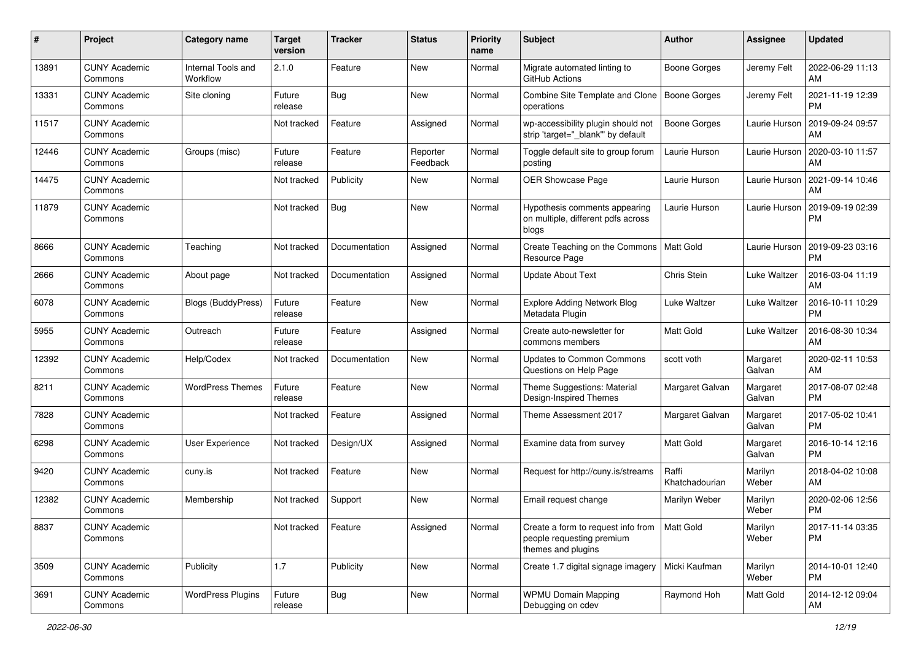| #     | Project                         | <b>Category name</b>           | <b>Target</b><br>version | <b>Tracker</b> | <b>Status</b>        | <b>Priority</b><br>name | <b>Subject</b>                                                                        | Author                  | Assignee           | <b>Updated</b>                |
|-------|---------------------------------|--------------------------------|--------------------------|----------------|----------------------|-------------------------|---------------------------------------------------------------------------------------|-------------------------|--------------------|-------------------------------|
| 13891 | <b>CUNY Academic</b><br>Commons | Internal Tools and<br>Workflow | 2.1.0                    | Feature        | New                  | Normal                  | Migrate automated linting to<br>GitHub Actions                                        | Boone Gorges            | Jeremy Felt        | 2022-06-29 11:13<br>AM        |
| 13331 | <b>CUNY Academic</b><br>Commons | Site cloning                   | Future<br>release        | Bug            | New                  | Normal                  | Combine Site Template and Clone<br>operations                                         | Boone Gorges            | Jeremy Felt        | 2021-11-19 12:39<br><b>PM</b> |
| 11517 | <b>CUNY Academic</b><br>Commons |                                | Not tracked              | Feature        | Assigned             | Normal                  | wp-accessibility plugin should not<br>strip 'target="_blank"' by default              | Boone Gorges            | Laurie Hurson      | 2019-09-24 09:57<br>AM        |
| 12446 | <b>CUNY Academic</b><br>Commons | Groups (misc)                  | Future<br>release        | Feature        | Reporter<br>Feedback | Normal                  | Toggle default site to group forum<br>posting                                         | Laurie Hurson           | Laurie Hurson      | 2020-03-10 11:57<br>AM        |
| 14475 | <b>CUNY Academic</b><br>Commons |                                | Not tracked              | Publicity      | New                  | Normal                  | OER Showcase Page                                                                     | Laurie Hurson           | Laurie Hurson      | 2021-09-14 10:46<br>AM        |
| 11879 | <b>CUNY Academic</b><br>Commons |                                | Not tracked              | <b>Bug</b>     | New                  | Normal                  | Hypothesis comments appearing<br>on multiple, different pdfs across<br>blogs          | Laurie Hurson           | Laurie Hurson      | 2019-09-19 02:39<br><b>PM</b> |
| 8666  | <b>CUNY Academic</b><br>Commons | Teaching                       | Not tracked              | Documentation  | Assigned             | Normal                  | Create Teaching on the Commons<br>Resource Page                                       | Matt Gold               | Laurie Hurson      | 2019-09-23 03:16<br><b>PM</b> |
| 2666  | <b>CUNY Academic</b><br>Commons | About page                     | Not tracked              | Documentation  | Assigned             | Normal                  | <b>Update About Text</b>                                                              | Chris Stein             | Luke Waltzer       | 2016-03-04 11:19<br>AM        |
| 6078  | <b>CUNY Academic</b><br>Commons | Blogs (BuddyPress)             | Future<br>release        | Feature        | New                  | Normal                  | <b>Explore Adding Network Blog</b><br>Metadata Plugin                                 | <b>Luke Waltzer</b>     | Luke Waltzer       | 2016-10-11 10:29<br><b>PM</b> |
| 5955  | <b>CUNY Academic</b><br>Commons | Outreach                       | Future<br>release        | Feature        | Assigned             | Normal                  | Create auto-newsletter for<br>commons members                                         | <b>Matt Gold</b>        | Luke Waltzer       | 2016-08-30 10:34<br>AM        |
| 12392 | <b>CUNY Academic</b><br>Commons | Help/Codex                     | Not tracked              | Documentation  | New                  | Normal                  | <b>Updates to Common Commons</b><br>Questions on Help Page                            | scott voth              | Margaret<br>Galvan | 2020-02-11 10:53<br>AM        |
| 8211  | <b>CUNY Academic</b><br>Commons | <b>WordPress Themes</b>        | Future<br>release        | Feature        | New                  | Normal                  | Theme Suggestions: Material<br>Design-Inspired Themes                                 | Margaret Galvan         | Margaret<br>Galvan | 2017-08-07 02:48<br><b>PM</b> |
| 7828  | <b>CUNY Academic</b><br>Commons |                                | Not tracked              | Feature        | Assigned             | Normal                  | Theme Assessment 2017                                                                 | Margaret Galvan         | Margaret<br>Galvan | 2017-05-02 10:41<br><b>PM</b> |
| 6298  | <b>CUNY Academic</b><br>Commons | User Experience                | Not tracked              | Design/UX      | Assigned             | Normal                  | Examine data from survey                                                              | <b>Matt Gold</b>        | Margaret<br>Galvan | 2016-10-14 12:16<br><b>PM</b> |
| 9420  | <b>CUNY Academic</b><br>Commons | cuny.is                        | Not tracked              | Feature        | New                  | Normal                  | Request for http://cuny.is/streams                                                    | Raffi<br>Khatchadourian | Marilyn<br>Weber   | 2018-04-02 10:08<br>AM        |
| 12382 | <b>CUNY Academic</b><br>Commons | Membership                     | Not tracked              | Support        | New                  | Normal                  | Email request change                                                                  | Marilyn Weber           | Marilyn<br>Weber   | 2020-02-06 12:56<br><b>PM</b> |
| 8837  | <b>CUNY Academic</b><br>Commons |                                | Not tracked              | Feature        | Assigned             | Normal                  | Create a form to request info from<br>people requesting premium<br>themes and plugins | Matt Gold               | Marilyn<br>Weber   | 2017-11-14 03:35<br><b>PM</b> |
| 3509  | <b>CUNY Academic</b><br>Commons | Publicity                      | 1.7                      | Publicity      | New                  | Normal                  | Create 1.7 digital signage imagery                                                    | Micki Kaufman           | Marilyn<br>Weber   | 2014-10-01 12:40<br><b>PM</b> |
| 3691  | <b>CUNY Academic</b><br>Commons | <b>WordPress Plugins</b>       | Future<br>release        | <b>Bug</b>     | New                  | Normal                  | <b>WPMU Domain Mapping</b><br>Debugging on cdev                                       | Raymond Hoh             | Matt Gold          | 2014-12-12 09:04<br>AM        |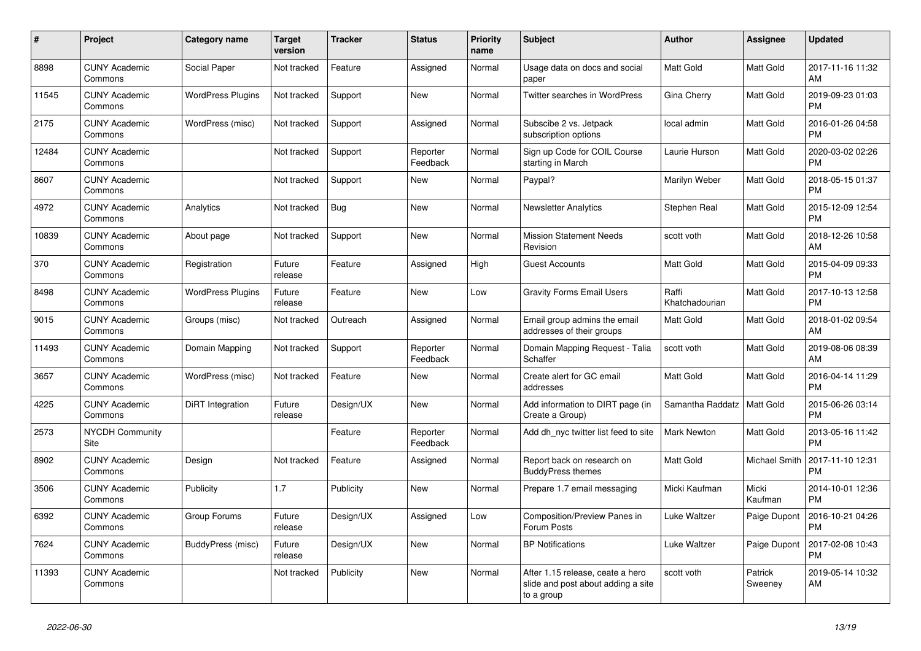| #     | Project                         | <b>Category name</b>     | <b>Target</b><br>version | <b>Tracker</b> | <b>Status</b>        | Priority<br>name | <b>Subject</b>                                                                       | <b>Author</b>           | Assignee             | <b>Updated</b>                |
|-------|---------------------------------|--------------------------|--------------------------|----------------|----------------------|------------------|--------------------------------------------------------------------------------------|-------------------------|----------------------|-------------------------------|
| 8898  | <b>CUNY Academic</b><br>Commons | Social Paper             | Not tracked              | Feature        | Assigned             | Normal           | Usage data on docs and social<br>paper                                               | <b>Matt Gold</b>        | Matt Gold            | 2017-11-16 11:32<br>AM        |
| 11545 | <b>CUNY Academic</b><br>Commons | <b>WordPress Plugins</b> | Not tracked              | Support        | New                  | Normal           | <b>Twitter searches in WordPress</b>                                                 | Gina Cherry             | Matt Gold            | 2019-09-23 01:03<br><b>PM</b> |
| 2175  | <b>CUNY Academic</b><br>Commons | WordPress (misc)         | Not tracked              | Support        | Assigned             | Normal           | Subscibe 2 vs. Jetpack<br>subscription options                                       | local admin             | Matt Gold            | 2016-01-26 04:58<br><b>PM</b> |
| 12484 | <b>CUNY Academic</b><br>Commons |                          | Not tracked              | Support        | Reporter<br>Feedback | Normal           | Sign up Code for COIL Course<br>starting in March                                    | Laurie Hurson           | Matt Gold            | 2020-03-02 02:26<br><b>PM</b> |
| 8607  | <b>CUNY Academic</b><br>Commons |                          | Not tracked              | Support        | New                  | Normal           | Paypal?                                                                              | Marilyn Weber           | Matt Gold            | 2018-05-15 01:37<br><b>PM</b> |
| 4972  | <b>CUNY Academic</b><br>Commons | Analytics                | Not tracked              | Bug            | New                  | Normal           | <b>Newsletter Analytics</b>                                                          | Stephen Real            | Matt Gold            | 2015-12-09 12:54<br><b>PM</b> |
| 10839 | <b>CUNY Academic</b><br>Commons | About page               | Not tracked              | Support        | <b>New</b>           | Normal           | <b>Mission Statement Needs</b><br>Revision                                           | scott voth              | Matt Gold            | 2018-12-26 10:58<br>AM        |
| 370   | <b>CUNY Academic</b><br>Commons | Registration             | Future<br>release        | Feature        | Assigned             | High             | <b>Guest Accounts</b>                                                                | <b>Matt Gold</b>        | Matt Gold            | 2015-04-09 09:33<br><b>PM</b> |
| 8498  | <b>CUNY Academic</b><br>Commons | <b>WordPress Plugins</b> | Future<br>release        | Feature        | New                  | Low              | <b>Gravity Forms Email Users</b>                                                     | Raffi<br>Khatchadourian | Matt Gold            | 2017-10-13 12:58<br><b>PM</b> |
| 9015  | <b>CUNY Academic</b><br>Commons | Groups (misc)            | Not tracked              | Outreach       | Assigned             | Normal           | Email group admins the email<br>addresses of their groups                            | Matt Gold               | Matt Gold            | 2018-01-02 09:54<br>AM        |
| 11493 | <b>CUNY Academic</b><br>Commons | Domain Mapping           | Not tracked              | Support        | Reporter<br>Feedback | Normal           | Domain Mapping Request - Talia<br>Schaffer                                           | scott voth              | Matt Gold            | 2019-08-06 08:39<br>AM        |
| 3657  | <b>CUNY Academic</b><br>Commons | WordPress (misc)         | Not tracked              | Feature        | New                  | Normal           | Create alert for GC email<br>addresses                                               | <b>Matt Gold</b>        | Matt Gold            | 2016-04-14 11:29<br><b>PM</b> |
| 4225  | <b>CUNY Academic</b><br>Commons | DiRT Integration         | Future<br>release        | Design/UX      | New                  | Normal           | Add information to DIRT page (in<br>Create a Group)                                  | Samantha Raddatz        | Matt Gold            | 2015-06-26 03:14<br><b>PM</b> |
| 2573  | <b>NYCDH Community</b><br>Site  |                          |                          | Feature        | Reporter<br>Feedback | Normal           | Add dh_nyc twitter list feed to site                                                 | <b>Mark Newton</b>      | Matt Gold            | 2013-05-16 11:42<br><b>PM</b> |
| 8902  | <b>CUNY Academic</b><br>Commons | Design                   | Not tracked              | Feature        | Assigned             | Normal           | Report back on research on<br><b>BuddyPress themes</b>                               | Matt Gold               | <b>Michael Smith</b> | 2017-11-10 12:31<br><b>PM</b> |
| 3506  | <b>CUNY Academic</b><br>Commons | Publicity                | 1.7                      | Publicity      | New                  | Normal           | Prepare 1.7 email messaging                                                          | Micki Kaufman           | Micki<br>Kaufman     | 2014-10-01 12:36<br><b>PM</b> |
| 6392  | <b>CUNY Academic</b><br>Commons | Group Forums             | Future<br>release        | Design/UX      | Assigned             | Low              | Composition/Preview Panes in<br>Forum Posts                                          | Luke Waltzer            | Paige Dupont         | 2016-10-21 04:26<br><b>PM</b> |
| 7624  | <b>CUNY Academic</b><br>Commons | <b>BuddyPress (misc)</b> | Future<br>release        | Design/UX      | <b>New</b>           | Normal           | <b>BP Notifications</b>                                                              | Luke Waltzer            | Paige Dupont         | 2017-02-08 10:43<br><b>PM</b> |
| 11393 | <b>CUNY Academic</b><br>Commons |                          | Not tracked              | Publicity      | <b>New</b>           | Normal           | After 1.15 release, ceate a hero<br>slide and post about adding a site<br>to a group | scott voth              | Patrick<br>Sweeney   | 2019-05-14 10:32<br>AM        |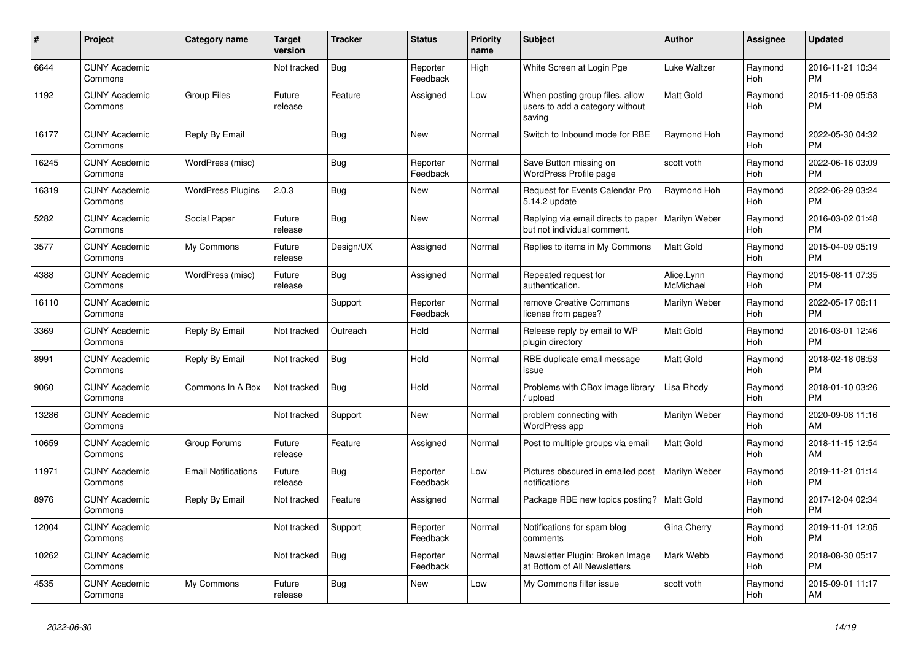| #     | Project                         | <b>Category name</b>       | <b>Target</b><br>version | <b>Tracker</b> | <b>Status</b>        | <b>Priority</b><br>name | <b>Subject</b>                                                               | <b>Author</b>           | <b>Assignee</b> | <b>Updated</b>                |
|-------|---------------------------------|----------------------------|--------------------------|----------------|----------------------|-------------------------|------------------------------------------------------------------------------|-------------------------|-----------------|-------------------------------|
| 6644  | <b>CUNY Academic</b><br>Commons |                            | Not tracked              | <b>Bug</b>     | Reporter<br>Feedback | High                    | White Screen at Login Pge                                                    | Luke Waltzer            | Raymond<br>Hoh  | 2016-11-21 10:34<br><b>PM</b> |
| 1192  | <b>CUNY Academic</b><br>Commons | <b>Group Files</b>         | Future<br>release        | Feature        | Assigned             | Low                     | When posting group files, allow<br>users to add a category without<br>saving | <b>Matt Gold</b>        | Raymond<br>Hoh  | 2015-11-09 05:53<br><b>PM</b> |
| 16177 | <b>CUNY Academic</b><br>Commons | Reply By Email             |                          | Bug            | <b>New</b>           | Normal                  | Switch to Inbound mode for RBE                                               | Raymond Hoh             | Raymond<br>Hoh  | 2022-05-30 04:32<br><b>PM</b> |
| 16245 | <b>CUNY Academic</b><br>Commons | WordPress (misc)           |                          | Bug            | Reporter<br>Feedback | Normal                  | Save Button missing on<br>WordPress Profile page                             | scott voth              | Raymond<br>Hoh  | 2022-06-16 03:09<br><b>PM</b> |
| 16319 | <b>CUNY Academic</b><br>Commons | <b>WordPress Plugins</b>   | 2.0.3                    | <b>Bug</b>     | New                  | Normal                  | Request for Events Calendar Pro<br>5.14.2 update                             | Raymond Hoh             | Raymond<br>Hoh  | 2022-06-29 03:24<br><b>PM</b> |
| 5282  | <b>CUNY Academic</b><br>Commons | Social Paper               | Future<br>release        | <b>Bug</b>     | <b>New</b>           | Normal                  | Replying via email directs to paper<br>but not individual comment.           | Marilyn Weber           | Raymond<br>Hoh  | 2016-03-02 01:48<br><b>PM</b> |
| 3577  | <b>CUNY Academic</b><br>Commons | My Commons                 | Future<br>release        | Design/UX      | Assigned             | Normal                  | Replies to items in My Commons                                               | <b>Matt Gold</b>        | Raymond<br>Hoh  | 2015-04-09 05:19<br><b>PM</b> |
| 4388  | <b>CUNY Academic</b><br>Commons | WordPress (misc)           | Future<br>release        | Bug            | Assigned             | Normal                  | Repeated request for<br>authentication.                                      | Alice.Lynn<br>McMichael | Raymond<br>Hoh  | 2015-08-11 07:35<br><b>PM</b> |
| 16110 | <b>CUNY Academic</b><br>Commons |                            |                          | Support        | Reporter<br>Feedback | Normal                  | remove Creative Commons<br>license from pages?                               | Marilyn Weber           | Raymond<br>Hoh  | 2022-05-17 06:11<br><b>PM</b> |
| 3369  | <b>CUNY Academic</b><br>Commons | Reply By Email             | Not tracked              | Outreach       | Hold                 | Normal                  | Release reply by email to WP<br>plugin directory                             | <b>Matt Gold</b>        | Raymond<br>Hoh  | 2016-03-01 12:46<br><b>PM</b> |
| 8991  | <b>CUNY Academic</b><br>Commons | Reply By Email             | Not tracked              | Bug            | Hold                 | Normal                  | RBE duplicate email message<br>issue                                         | <b>Matt Gold</b>        | Raymond<br>Hoh  | 2018-02-18 08:53<br><b>PM</b> |
| 9060  | <b>CUNY Academic</b><br>Commons | Commons In A Box           | Not tracked              | Bug            | Hold                 | Normal                  | Problems with CBox image library<br>/ upload                                 | Lisa Rhody              | Raymond<br>Hoh  | 2018-01-10 03:26<br><b>PM</b> |
| 13286 | <b>CUNY Academic</b><br>Commons |                            | Not tracked              | Support        | <b>New</b>           | Normal                  | problem connecting with<br>WordPress app                                     | Marilyn Weber           | Raymond<br>Hoh  | 2020-09-08 11:16<br>AM        |
| 10659 | <b>CUNY Academic</b><br>Commons | Group Forums               | Future<br>release        | Feature        | Assigned             | Normal                  | Post to multiple groups via email                                            | <b>Matt Gold</b>        | Raymond<br>Hoh  | 2018-11-15 12:54<br>AM        |
| 11971 | <b>CUNY Academic</b><br>Commons | <b>Email Notifications</b> | Future<br>release        | Bug            | Reporter<br>Feedback | Low                     | Pictures obscured in emailed post<br>notifications                           | Marilyn Weber           | Raymond<br>Hoh  | 2019-11-21 01:14<br><b>PM</b> |
| 8976  | <b>CUNY Academic</b><br>Commons | Reply By Email             | Not tracked              | Feature        | Assigned             | Normal                  | Package RBE new topics posting?                                              | l Matt Gold             | Raymond<br>Hoh  | 2017-12-04 02:34<br><b>PM</b> |
| 12004 | <b>CUNY Academic</b><br>Commons |                            | Not tracked              | Support        | Reporter<br>Feedback | Normal                  | Notifications for spam blog<br>comments                                      | Gina Cherry             | Raymond<br>Hoh  | 2019-11-01 12:05<br><b>PM</b> |
| 10262 | <b>CUNY Academic</b><br>Commons |                            | Not tracked              | Bug            | Reporter<br>Feedback | Normal                  | Newsletter Plugin: Broken Image<br>at Bottom of All Newsletters              | Mark Webb               | Raymond<br>Hoh  | 2018-08-30 05:17<br><b>PM</b> |
| 4535  | <b>CUNY Academic</b><br>Commons | My Commons                 | Future<br>release        | Bug            | <b>New</b>           | Low                     | My Commons filter issue                                                      | scott voth              | Raymond<br>Hoh  | 2015-09-01 11:17<br>AM        |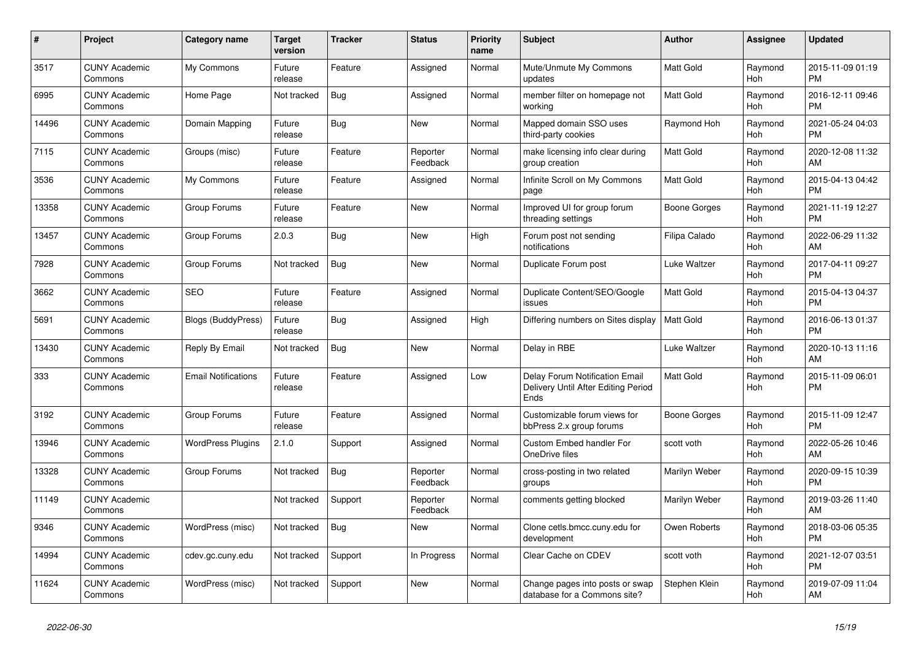| #     | Project                         | <b>Category name</b>       | <b>Target</b><br>version | <b>Tracker</b> | <b>Status</b>        | Priority<br>name | <b>Subject</b>                                                                       | <b>Author</b>    | Assignee       | <b>Updated</b>                |
|-------|---------------------------------|----------------------------|--------------------------|----------------|----------------------|------------------|--------------------------------------------------------------------------------------|------------------|----------------|-------------------------------|
| 3517  | <b>CUNY Academic</b><br>Commons | My Commons                 | Future<br>release        | Feature        | Assigned             | Normal           | Mute/Unmute My Commons<br>updates                                                    | <b>Matt Gold</b> | Raymond<br>Hoh | 2015-11-09 01:19<br><b>PM</b> |
| 6995  | <b>CUNY Academic</b><br>Commons | Home Page                  | Not tracked              | Bug            | Assigned             | Normal           | member filter on homepage not<br>workina                                             | Matt Gold        | Raymond<br>Hoh | 2016-12-11 09:46<br><b>PM</b> |
| 14496 | <b>CUNY Academic</b><br>Commons | Domain Mapping             | Future<br>release        | <b>Bug</b>     | New                  | Normal           | Mapped domain SSO uses<br>third-party cookies                                        | Raymond Hoh      | Raymond<br>Hoh | 2021-05-24 04:03<br><b>PM</b> |
| 7115  | <b>CUNY Academic</b><br>Commons | Groups (misc)              | Future<br>release        | Feature        | Reporter<br>Feedback | Normal           | make licensing info clear during<br>group creation                                   | Matt Gold        | Raymond<br>Hoh | 2020-12-08 11:32<br>AM        |
| 3536  | <b>CUNY Academic</b><br>Commons | My Commons                 | Future<br>release        | Feature        | Assigned             | Normal           | Infinite Scroll on My Commons<br>page                                                | Matt Gold        | Raymond<br>Hoh | 2015-04-13 04:42<br><b>PM</b> |
| 13358 | <b>CUNY Academic</b><br>Commons | Group Forums               | Future<br>release        | Feature        | New                  | Normal           | Improved UI for group forum<br>threading settings                                    | Boone Gorges     | Raymond<br>Hoh | 2021-11-19 12:27<br><b>PM</b> |
| 13457 | <b>CUNY Academic</b><br>Commons | Group Forums               | 2.0.3                    | Bug            | <b>New</b>           | High             | Forum post not sending<br>notifications                                              | Filipa Calado    | Raymond<br>Hoh | 2022-06-29 11:32<br>AM        |
| 7928  | <b>CUNY Academic</b><br>Commons | Group Forums               | Not tracked              | Bug            | <b>New</b>           | Normal           | Duplicate Forum post                                                                 | Luke Waltzer     | Raymond<br>Hoh | 2017-04-11 09:27<br><b>PM</b> |
| 3662  | <b>CUNY Academic</b><br>Commons | <b>SEO</b>                 | Future<br>release        | Feature        | Assigned             | Normal           | Duplicate Content/SEO/Google<br>issues                                               | <b>Matt Gold</b> | Raymond<br>Hoh | 2015-04-13 04:37<br><b>PM</b> |
| 5691  | <b>CUNY Academic</b><br>Commons | <b>Blogs (BuddyPress)</b>  | Future<br>release        | Bug            | Assigned             | High             | Differing numbers on Sites display                                                   | <b>Matt Gold</b> | Raymond<br>Hoh | 2016-06-13 01:37<br><b>PM</b> |
| 13430 | <b>CUNY Academic</b><br>Commons | Reply By Email             | Not tracked              | Bug            | <b>New</b>           | Normal           | Delay in RBE                                                                         | Luke Waltzer     | Raymond<br>Hoh | 2020-10-13 11:16<br>AM        |
| 333   | <b>CUNY Academic</b><br>Commons | <b>Email Notifications</b> | Future<br>release        | Feature        | Assigned             | Low              | <b>Delay Forum Notification Email</b><br>Delivery Until After Editing Period<br>Ends | Matt Gold        | Raymond<br>Hoh | 2015-11-09 06:01<br><b>PM</b> |
| 3192  | <b>CUNY Academic</b><br>Commons | Group Forums               | Future<br>release        | Feature        | Assigned             | Normal           | Customizable forum views for<br>bbPress 2.x group forums                             | Boone Gorges     | Raymond<br>Hoh | 2015-11-09 12:47<br><b>PM</b> |
| 13946 | <b>CUNY Academic</b><br>Commons | <b>WordPress Plugins</b>   | 2.1.0                    | Support        | Assigned             | Normal           | <b>Custom Embed handler For</b><br>OneDrive files                                    | scott voth       | Raymond<br>Hoh | 2022-05-26 10:46<br>AM        |
| 13328 | <b>CUNY Academic</b><br>Commons | Group Forums               | Not tracked              | <b>Bug</b>     | Reporter<br>Feedback | Normal           | cross-posting in two related<br>groups                                               | Marilyn Weber    | Raymond<br>Hoh | 2020-09-15 10:39<br><b>PM</b> |
| 11149 | <b>CUNY Academic</b><br>Commons |                            | Not tracked              | Support        | Reporter<br>Feedback | Normal           | comments getting blocked                                                             | Marilyn Weber    | Raymond<br>Hoh | 2019-03-26 11:40<br>AM        |
| 9346  | <b>CUNY Academic</b><br>Commons | WordPress (misc)           | Not tracked              | Bug            | New                  | Normal           | Clone cetls.bmcc.cuny.edu for<br>development                                         | Owen Roberts     | Raymond<br>Hoh | 2018-03-06 05:35<br><b>PM</b> |
| 14994 | <b>CUNY Academic</b><br>Commons | cdev.gc.cuny.edu           | Not tracked              | Support        | In Progress          | Normal           | Clear Cache on CDEV                                                                  | scott voth       | Raymond<br>Hoh | 2021-12-07 03:51<br><b>PM</b> |
| 11624 | <b>CUNY Academic</b><br>Commons | WordPress (misc)           | Not tracked              | Support        | New                  | Normal           | Change pages into posts or swap<br>database for a Commons site?                      | Stephen Klein    | Raymond<br>Hoh | 2019-07-09 11:04<br>AM        |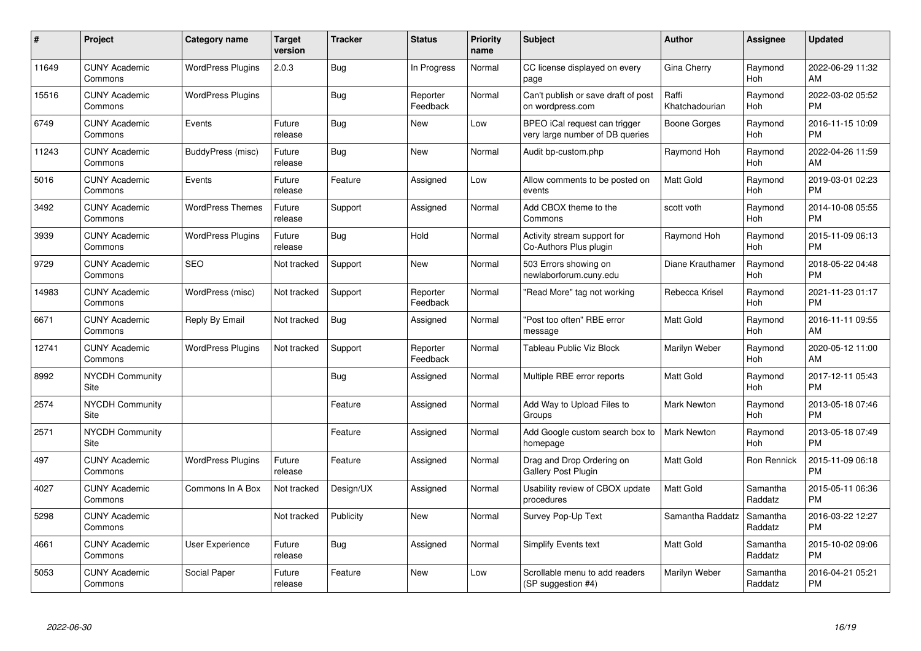| #     | Project                         | <b>Category name</b>     | Target<br>version | <b>Tracker</b> | <b>Status</b>        | Priority<br>name | <b>Subject</b>                                                   | <b>Author</b>           | <b>Assignee</b>     | <b>Updated</b>                |
|-------|---------------------------------|--------------------------|-------------------|----------------|----------------------|------------------|------------------------------------------------------------------|-------------------------|---------------------|-------------------------------|
| 11649 | <b>CUNY Academic</b><br>Commons | <b>WordPress Plugins</b> | 2.0.3             | Bug            | In Progress          | Normal           | CC license displayed on every<br>page                            | Gina Cherry             | Raymond<br>Hoh      | 2022-06-29 11:32<br><b>AM</b> |
| 15516 | <b>CUNY Academic</b><br>Commons | <b>WordPress Plugins</b> |                   | Bug            | Reporter<br>Feedback | Normal           | Can't publish or save draft of post<br>on wordpress.com          | Raffi<br>Khatchadourian | Raymond<br>Hoh      | 2022-03-02 05:52<br><b>PM</b> |
| 6749  | <b>CUNY Academic</b><br>Commons | Events                   | Future<br>release | <b>Bug</b>     | <b>New</b>           | Low              | BPEO iCal request can trigger<br>very large number of DB queries | Boone Gorges            | Raymond<br>Hoh      | 2016-11-15 10:09<br><b>PM</b> |
| 11243 | <b>CUNY Academic</b><br>Commons | BuddyPress (misc)        | Future<br>release | Bug            | <b>New</b>           | Normal           | Audit bp-custom.php                                              | Raymond Hoh             | Raymond<br>Hoh      | 2022-04-26 11:59<br>AM        |
| 5016  | <b>CUNY Academic</b><br>Commons | Events                   | Future<br>release | Feature        | Assigned             | Low              | Allow comments to be posted on<br>events                         | Matt Gold               | Raymond<br>Hoh      | 2019-03-01 02:23<br><b>PM</b> |
| 3492  | <b>CUNY Academic</b><br>Commons | <b>WordPress Themes</b>  | Future<br>release | Support        | Assigned             | Normal           | Add CBOX theme to the<br>Commons                                 | scott voth              | Raymond<br>Hoh      | 2014-10-08 05:55<br><b>PM</b> |
| 3939  | <b>CUNY Academic</b><br>Commons | <b>WordPress Plugins</b> | Future<br>release | Bug            | Hold                 | Normal           | Activity stream support for<br>Co-Authors Plus plugin            | Raymond Hoh             | Raymond<br>Hoh      | 2015-11-09 06:13<br><b>PM</b> |
| 9729  | <b>CUNY Academic</b><br>Commons | <b>SEO</b>               | Not tracked       | Support        | <b>New</b>           | Normal           | 503 Errors showing on<br>newlaborforum.cuny.edu                  | Diane Krauthamer        | Raymond<br>Hoh      | 2018-05-22 04:48<br><b>PM</b> |
| 14983 | <b>CUNY Academic</b><br>Commons | WordPress (misc)         | Not tracked       | Support        | Reporter<br>Feedback | Normal           | "Read More" tag not working                                      | Rebecca Krisel          | Raymond<br>Hoh      | 2021-11-23 01:17<br><b>PM</b> |
| 6671  | <b>CUNY Academic</b><br>Commons | Reply By Email           | Not tracked       | Bug            | Assigned             | Normal           | "Post too often" RBE error<br>message                            | <b>Matt Gold</b>        | Raymond<br>Hoh      | 2016-11-11 09:55<br>AM        |
| 12741 | <b>CUNY Academic</b><br>Commons | <b>WordPress Plugins</b> | Not tracked       | Support        | Reporter<br>Feedback | Normal           | Tableau Public Viz Block                                         | Marilyn Weber           | Raymond<br>Hoh      | 2020-05-12 11:00<br>AM        |
| 8992  | <b>NYCDH Community</b><br>Site  |                          |                   | Bug            | Assigned             | Normal           | Multiple RBE error reports                                       | <b>Matt Gold</b>        | Raymond<br>Hoh      | 2017-12-11 05:43<br><b>PM</b> |
| 2574  | <b>NYCDH Community</b><br>Site  |                          |                   | Feature        | Assigned             | Normal           | Add Way to Upload Files to<br>Groups                             | Mark Newton             | Raymond<br>Hoh      | 2013-05-18 07:46<br><b>PM</b> |
| 2571  | <b>NYCDH Community</b><br>Site  |                          |                   | Feature        | Assigned             | Normal           | Add Google custom search box to<br>homepage                      | <b>Mark Newton</b>      | Raymond<br>Hoh      | 2013-05-18 07:49<br><b>PM</b> |
| 497   | <b>CUNY Academic</b><br>Commons | <b>WordPress Plugins</b> | Future<br>release | Feature        | Assigned             | Normal           | Drag and Drop Ordering on<br><b>Gallery Post Plugin</b>          | Matt Gold               | Ron Rennick         | 2015-11-09 06:18<br><b>PM</b> |
| 4027  | <b>CUNY Academic</b><br>Commons | Commons In A Box         | Not tracked       | Design/UX      | Assigned             | Normal           | Usability review of CBOX update<br>procedures                    | Matt Gold               | Samantha<br>Raddatz | 2015-05-11 06:36<br><b>PM</b> |
| 5298  | <b>CUNY Academic</b><br>Commons |                          | Not tracked       | Publicity      | New                  | Normal           | Survey Pop-Up Text                                               | Samantha Raddatz        | Samantha<br>Raddatz | 2016-03-22 12:27<br><b>PM</b> |
| 4661  | <b>CUNY Academic</b><br>Commons | User Experience          | Future<br>release | Bug            | Assigned             | Normal           | Simplify Events text                                             | <b>Matt Gold</b>        | Samantha<br>Raddatz | 2015-10-02 09:06<br><b>PM</b> |
| 5053  | <b>CUNY Academic</b><br>Commons | Social Paper             | Future<br>release | Feature        | <b>New</b>           | Low              | Scrollable menu to add readers<br>(SP suggestion #4)             | Marilyn Weber           | Samantha<br>Raddatz | 2016-04-21 05:21<br>PM        |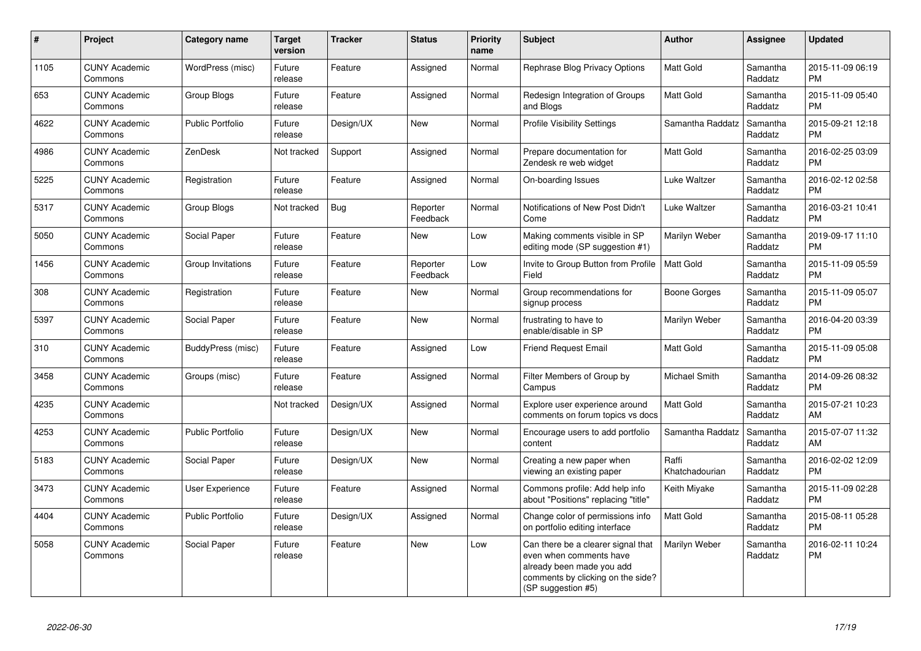| $\pmb{\#}$ | Project                         | <b>Category name</b>    | <b>Target</b><br>version | <b>Tracker</b> | <b>Status</b>        | <b>Priority</b><br>name | <b>Subject</b>                                                                                                                                        | <b>Author</b>           | <b>Assignee</b>     | <b>Updated</b>                |
|------------|---------------------------------|-------------------------|--------------------------|----------------|----------------------|-------------------------|-------------------------------------------------------------------------------------------------------------------------------------------------------|-------------------------|---------------------|-------------------------------|
| 1105       | <b>CUNY Academic</b><br>Commons | WordPress (misc)        | Future<br>release        | Feature        | Assigned             | Normal                  | Rephrase Blog Privacy Options                                                                                                                         | <b>Matt Gold</b>        | Samantha<br>Raddatz | 2015-11-09 06:19<br><b>PM</b> |
| 653        | <b>CUNY Academic</b><br>Commons | Group Blogs             | Future<br>release        | Feature        | Assigned             | Normal                  | Redesign Integration of Groups<br>and Blogs                                                                                                           | Matt Gold               | Samantha<br>Raddatz | 2015-11-09 05:40<br><b>PM</b> |
| 4622       | <b>CUNY Academic</b><br>Commons | <b>Public Portfolio</b> | Future<br>release        | Design/UX      | New                  | Normal                  | <b>Profile Visibility Settings</b>                                                                                                                    | Samantha Raddatz        | Samantha<br>Raddatz | 2015-09-21 12:18<br><b>PM</b> |
| 4986       | <b>CUNY Academic</b><br>Commons | ZenDesk                 | Not tracked              | Support        | Assigned             | Normal                  | Prepare documentation for<br>Zendesk re web widget                                                                                                    | Matt Gold               | Samantha<br>Raddatz | 2016-02-25 03:09<br><b>PM</b> |
| 5225       | <b>CUNY Academic</b><br>Commons | Registration            | Future<br>release        | Feature        | Assigned             | Normal                  | On-boarding Issues                                                                                                                                    | Luke Waltzer            | Samantha<br>Raddatz | 2016-02-12 02:58<br><b>PM</b> |
| 5317       | <b>CUNY Academic</b><br>Commons | Group Blogs             | Not tracked              | Bug            | Reporter<br>Feedback | Normal                  | Notifications of New Post Didn't<br>Come                                                                                                              | Luke Waltzer            | Samantha<br>Raddatz | 2016-03-21 10:41<br><b>PM</b> |
| 5050       | <b>CUNY Academic</b><br>Commons | Social Paper            | Future<br>release        | Feature        | New                  | Low                     | Making comments visible in SP<br>editing mode (SP suggestion #1)                                                                                      | Marilyn Weber           | Samantha<br>Raddatz | 2019-09-17 11:10<br><b>PM</b> |
| 1456       | <b>CUNY Academic</b><br>Commons | Group Invitations       | Future<br>release        | Feature        | Reporter<br>Feedback | Low                     | Invite to Group Button from Profile<br>Field                                                                                                          | <b>Matt Gold</b>        | Samantha<br>Raddatz | 2015-11-09 05:59<br><b>PM</b> |
| 308        | <b>CUNY Academic</b><br>Commons | Registration            | Future<br>release        | Feature        | <b>New</b>           | Normal                  | Group recommendations for<br>signup process                                                                                                           | Boone Gorges            | Samantha<br>Raddatz | 2015-11-09 05:07<br><b>PM</b> |
| 5397       | <b>CUNY Academic</b><br>Commons | Social Paper            | Future<br>release        | Feature        | <b>New</b>           | Normal                  | frustrating to have to<br>enable/disable in SP                                                                                                        | Marilyn Weber           | Samantha<br>Raddatz | 2016-04-20 03:39<br><b>PM</b> |
| 310        | <b>CUNY Academic</b><br>Commons | BuddyPress (misc)       | Future<br>release        | Feature        | Assigned             | Low                     | <b>Friend Request Email</b>                                                                                                                           | Matt Gold               | Samantha<br>Raddatz | 2015-11-09 05:08<br><b>PM</b> |
| 3458       | <b>CUNY Academic</b><br>Commons | Groups (misc)           | Future<br>release        | Feature        | Assigned             | Normal                  | Filter Members of Group by<br>Campus                                                                                                                  | Michael Smith           | Samantha<br>Raddatz | 2014-09-26 08:32<br><b>PM</b> |
| 4235       | <b>CUNY Academic</b><br>Commons |                         | Not tracked              | Design/UX      | Assigned             | Normal                  | Explore user experience around<br>comments on forum topics vs docs                                                                                    | <b>Matt Gold</b>        | Samantha<br>Raddatz | 2015-07-21 10:23<br>AM        |
| 4253       | <b>CUNY Academic</b><br>Commons | <b>Public Portfolio</b> | Future<br>release        | Design/UX      | New                  | Normal                  | Encourage users to add portfolio<br>content                                                                                                           | Samantha Raddatz        | Samantha<br>Raddatz | 2015-07-07 11:32<br>AM        |
| 5183       | <b>CUNY Academic</b><br>Commons | Social Paper            | Future<br>release        | Design/UX      | <b>New</b>           | Normal                  | Creating a new paper when<br>viewing an existing paper                                                                                                | Raffi<br>Khatchadourian | Samantha<br>Raddatz | 2016-02-02 12:09<br><b>PM</b> |
| 3473       | <b>CUNY Academic</b><br>Commons | User Experience         | Future<br>release        | Feature        | Assigned             | Normal                  | Commons profile: Add help info<br>about "Positions" replacing "title"                                                                                 | Keith Miyake            | Samantha<br>Raddatz | 2015-11-09 02:28<br><b>PM</b> |
| 4404       | <b>CUNY Academic</b><br>Commons | <b>Public Portfolio</b> | Future<br>release        | Design/UX      | Assigned             | Normal                  | Change color of permissions info<br>on portfolio editing interface                                                                                    | Matt Gold               | Samantha<br>Raddatz | 2015-08-11 05:28<br><b>PM</b> |
| 5058       | <b>CUNY Academic</b><br>Commons | Social Paper            | Future<br>release        | Feature        | <b>New</b>           | Low                     | Can there be a clearer signal that<br>even when comments have<br>already been made you add<br>comments by clicking on the side?<br>(SP suggestion #5) | Marilyn Weber           | Samantha<br>Raddatz | 2016-02-11 10:24<br><b>PM</b> |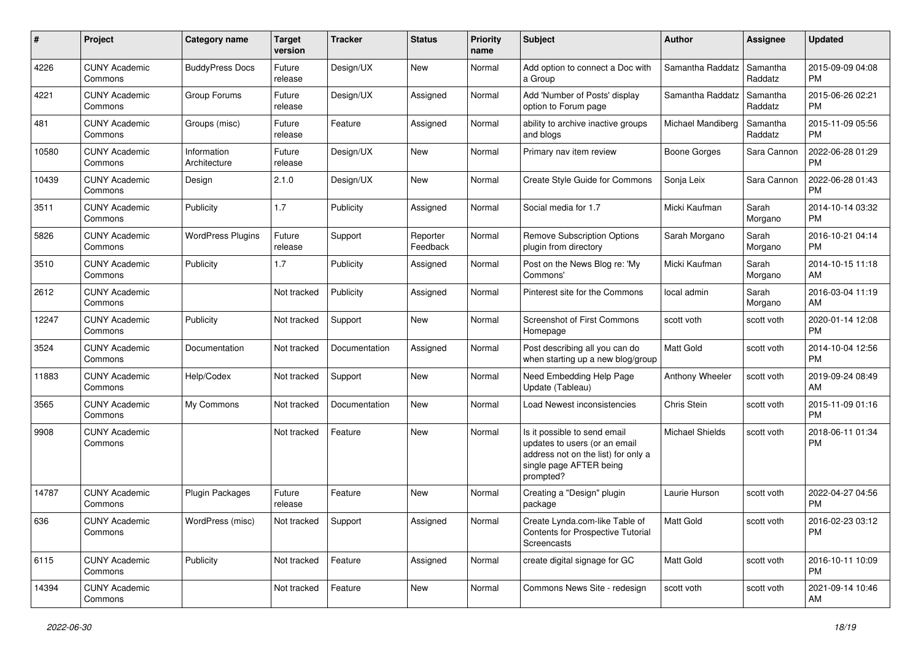| #     | Project                         | <b>Category name</b>        | <b>Target</b><br>version | <b>Tracker</b> | <b>Status</b>        | <b>Priority</b><br>name | <b>Subject</b>                                                                                                                               | Author                 | Assignee            | <b>Updated</b>                |
|-------|---------------------------------|-----------------------------|--------------------------|----------------|----------------------|-------------------------|----------------------------------------------------------------------------------------------------------------------------------------------|------------------------|---------------------|-------------------------------|
| 4226  | <b>CUNY Academic</b><br>Commons | <b>BuddyPress Docs</b>      | Future<br>release        | Design/UX      | New                  | Normal                  | Add option to connect a Doc with<br>a Group                                                                                                  | Samantha Raddatz       | Samantha<br>Raddatz | 2015-09-09 04:08<br><b>PM</b> |
| 4221  | <b>CUNY Academic</b><br>Commons | Group Forums                | Future<br>release        | Design/UX      | Assigned             | Normal                  | Add 'Number of Posts' display<br>option to Forum page                                                                                        | Samantha Raddatz       | Samantha<br>Raddatz | 2015-06-26 02:21<br><b>PM</b> |
| 481   | <b>CUNY Academic</b><br>Commons | Groups (misc)               | Future<br>release        | Feature        | Assigned             | Normal                  | ability to archive inactive groups<br>and blogs                                                                                              | Michael Mandiberg      | Samantha<br>Raddatz | 2015-11-09 05:56<br><b>PM</b> |
| 10580 | <b>CUNY Academic</b><br>Commons | Information<br>Architecture | Future<br>release        | Design/UX      | New                  | Normal                  | Primary nav item review                                                                                                                      | Boone Gorges           | Sara Cannon         | 2022-06-28 01:29<br><b>PM</b> |
| 10439 | <b>CUNY Academic</b><br>Commons | Design                      | 2.1.0                    | Design/UX      | New                  | Normal                  | Create Style Guide for Commons                                                                                                               | Sonja Leix             | Sara Cannon         | 2022-06-28 01:43<br><b>PM</b> |
| 3511  | <b>CUNY Academic</b><br>Commons | Publicity                   | 1.7                      | Publicity      | Assigned             | Normal                  | Social media for 1.7                                                                                                                         | Micki Kaufman          | Sarah<br>Morgano    | 2014-10-14 03:32<br><b>PM</b> |
| 5826  | <b>CUNY Academic</b><br>Commons | <b>WordPress Plugins</b>    | Future<br>release        | Support        | Reporter<br>Feedback | Normal                  | Remove Subscription Options<br>plugin from directory                                                                                         | Sarah Morgano          | Sarah<br>Morgano    | 2016-10-21 04:14<br><b>PM</b> |
| 3510  | <b>CUNY Academic</b><br>Commons | Publicity                   | 1.7                      | Publicity      | Assigned             | Normal                  | Post on the News Blog re: 'My<br>Commons'                                                                                                    | Micki Kaufman          | Sarah<br>Morgano    | 2014-10-15 11:18<br>AM        |
| 2612  | <b>CUNY Academic</b><br>Commons |                             | Not tracked              | Publicity      | Assigned             | Normal                  | Pinterest site for the Commons                                                                                                               | local admin            | Sarah<br>Morgano    | 2016-03-04 11:19<br>AM        |
| 12247 | <b>CUNY Academic</b><br>Commons | Publicity                   | Not tracked              | Support        | New                  | Normal                  | <b>Screenshot of First Commons</b><br>Homepage                                                                                               | scott voth             | scott voth          | 2020-01-14 12:08<br><b>PM</b> |
| 3524  | <b>CUNY Academic</b><br>Commons | Documentation               | Not tracked              | Documentation  | Assigned             | Normal                  | Post describing all you can do<br>when starting up a new blog/group                                                                          | <b>Matt Gold</b>       | scott voth          | 2014-10-04 12:56<br><b>PM</b> |
| 11883 | <b>CUNY Academic</b><br>Commons | Help/Codex                  | Not tracked              | Support        | New                  | Normal                  | Need Embedding Help Page<br>Update (Tableau)                                                                                                 | Anthony Wheeler        | scott voth          | 2019-09-24 08:49<br>AM        |
| 3565  | <b>CUNY Academic</b><br>Commons | My Commons                  | Not tracked              | Documentation  | New                  | Normal                  | Load Newest inconsistencies                                                                                                                  | Chris Stein            | scott voth          | 2015-11-09 01:16<br><b>PM</b> |
| 9908  | <b>CUNY Academic</b><br>Commons |                             | Not tracked              | Feature        | New                  | Normal                  | Is it possible to send email<br>updates to users (or an email<br>address not on the list) for only a<br>single page AFTER being<br>prompted? | <b>Michael Shields</b> | scott voth          | 2018-06-11 01:34<br><b>PM</b> |
| 14787 | <b>CUNY Academic</b><br>Commons | Plugin Packages             | Future<br>release        | Feature        | New                  | Normal                  | Creating a "Design" plugin<br>package                                                                                                        | Laurie Hurson          | scott voth          | 2022-04-27 04:56<br><b>PM</b> |
| 636   | <b>CUNY Academic</b><br>Commons | WordPress (misc)            | Not tracked Support      |                | Assigned             | Normal                  | Create Lynda.com-like Table of<br><b>Contents for Prospective Tutorial</b><br>Screencasts                                                    | Matt Gold              | scott voth          | 2016-02-23 03:12<br><b>PM</b> |
| 6115  | <b>CUNY Academic</b><br>Commons | Publicity                   | Not tracked              | Feature        | Assigned             | Normal                  | create digital signage for GC                                                                                                                | Matt Gold              | scott voth          | 2016-10-11 10:09<br><b>PM</b> |
| 14394 | <b>CUNY Academic</b><br>Commons |                             | Not tracked              | Feature        | New                  | Normal                  | Commons News Site - redesign                                                                                                                 | scott voth             | scott voth          | 2021-09-14 10:46<br>AM        |